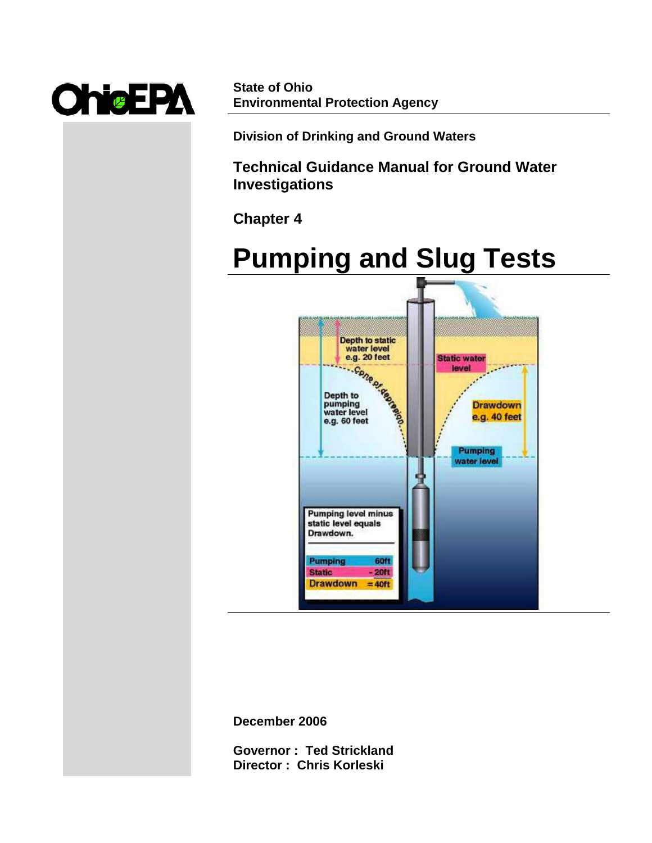

**State of Ohio Environmental Protection Agency**

**Division of Drinking and Ground Waters**

**Technical Guidance Manual for Ground Water Investigations**

**Chapter 4**



**December 2006**

**Governor : Ted Strickland Director : Chris Korleski**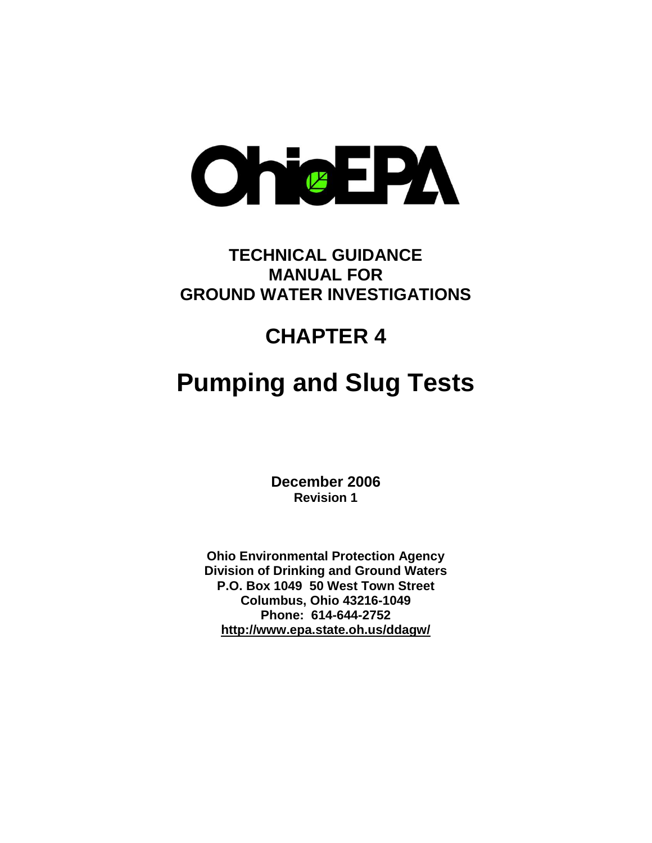

# **TECHNICAL GUIDANCE MANUAL FOR GROUND WATER INVESTIGATIONS**

# **CHAPTER 4**

# **Pumping and Slug Tests**

**December 2006 Revision 1**

**Ohio Environmental Protection Agency Division of Drinking and Ground Waters P.O. Box 1049 50 West Town Street Columbus, Ohio 43216-1049 Phone: 614-644-2752 <http://www.epa.state.oh.us/ddagw/>**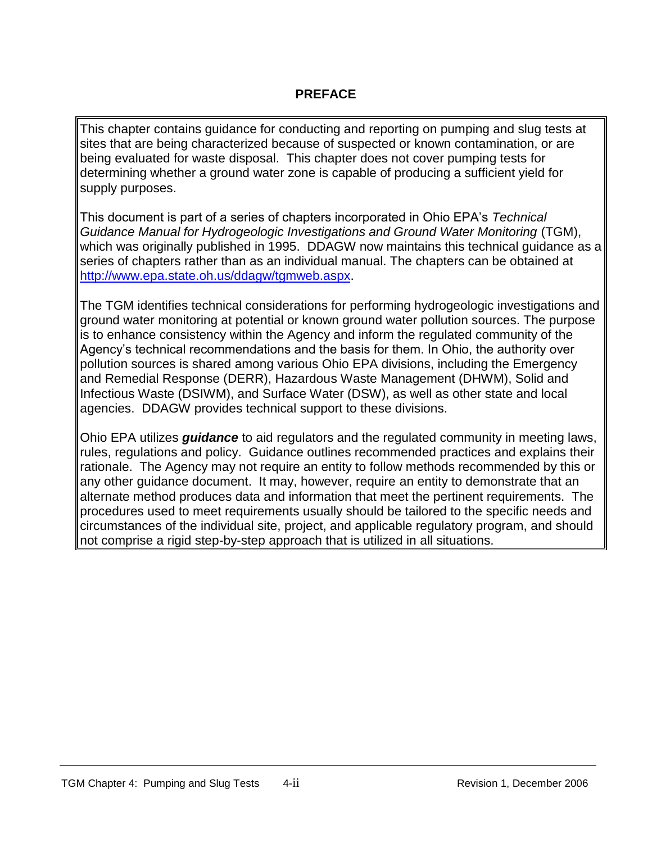# **PREFACE**

This chapter contains guidance for conducting and reporting on pumping and slug tests at sites that are being characterized because of suspected or known contamination, or are being evaluated for waste disposal. This chapter does not cover pumping tests for determining whether a ground water zone is capable of producing a sufficient yield for supply purposes.

This document is part of a series of chapters incorporated in Ohio EPA's *Technical Guidance Manual for Hydrogeologic Investigations and Ground Water Monitoring* (TGM), which was originally published in 1995. DDAGW now maintains this technical guidance as a series of chapters rather than as an individual manual. The chapters can be obtained at [http://www.epa.state.oh.us/ddagw/tgmweb.aspx.](http://www.epa.state.oh.us/ddagw/tgmweb.aspx)

The TGM identifies technical considerations for performing hydrogeologic investigations and ground water monitoring at potential or known ground water pollution sources. The purpose is to enhance consistency within the Agency and inform the regulated community of the Agency's technical recommendations and the basis for them. In Ohio, the authority over pollution sources is shared among various Ohio EPA divisions, including the Emergency and Remedial Response (DERR), Hazardous Waste Management (DHWM), Solid and Infectious Waste (DSIWM), and Surface Water (DSW), as well as other state and local agencies. DDAGW provides technical support to these divisions.

Ohio EPA utilizes *guidance* to aid regulators and the regulated community in meeting laws, rules, regulations and policy. Guidance outlines recommended practices and explains their rationale. The Agency may not require an entity to follow methods recommended by this or any other guidance document. It may, however, require an entity to demonstrate that an alternate method produces data and information that meet the pertinent requirements. The procedures used to meet requirements usually should be tailored to the specific needs and circumstances of the individual site, project, and applicable regulatory program, and should not comprise a rigid step-by-step approach that is utilized in all situations.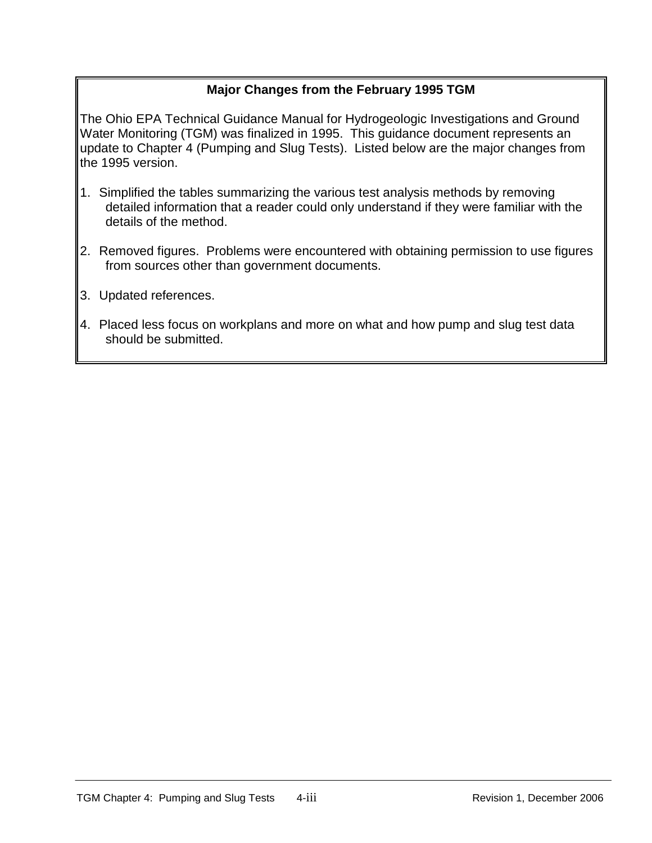# **Major Changes from the February 1995 TGM**

The Ohio EPA Technical Guidance Manual for Hydrogeologic Investigations and Ground Water Monitoring (TGM) was finalized in 1995. This guidance document represents an update to Chapter 4 (Pumping and Slug Tests). Listed below are the major changes from the 1995 version.

- 1. Simplified the tables summarizing the various test analysis methods by removing detailed information that a reader could only understand if they were familiar with the details of the method.
- 2. Removed figures. Problems were encountered with obtaining permission to use figures from sources other than government documents.
- 3. Updated references.
- 4. Placed less focus on workplans and more on what and how pump and slug test data should be submitted.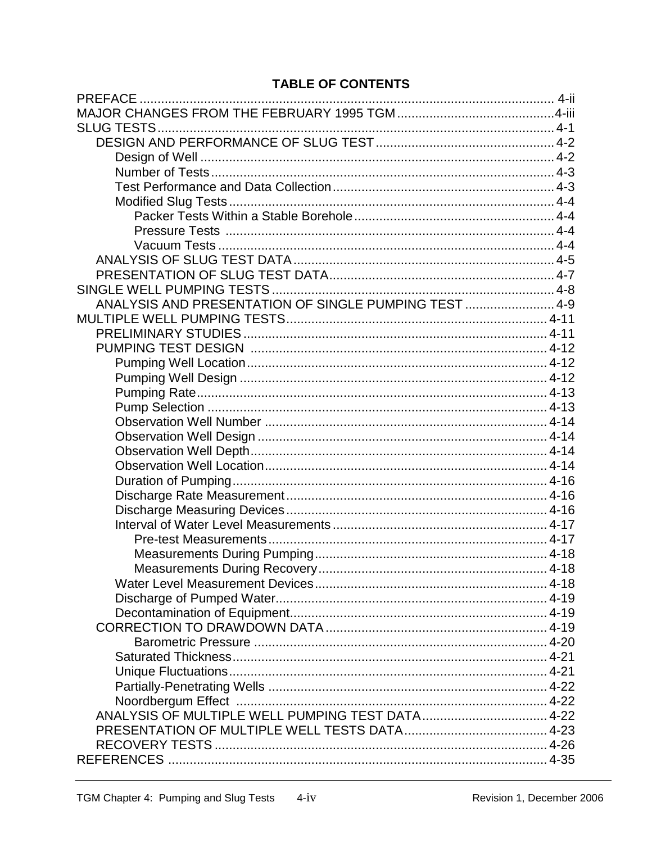# **TABLE OF CONTENTS**

| ANALYSIS AND PRESENTATION OF SINGLE PUMPING TEST  4-9 |  |
|-------------------------------------------------------|--|
|                                                       |  |
|                                                       |  |
|                                                       |  |
|                                                       |  |
|                                                       |  |
|                                                       |  |
|                                                       |  |
|                                                       |  |
|                                                       |  |
|                                                       |  |
|                                                       |  |
|                                                       |  |
|                                                       |  |
|                                                       |  |
|                                                       |  |
|                                                       |  |
|                                                       |  |
|                                                       |  |
|                                                       |  |
|                                                       |  |
|                                                       |  |
|                                                       |  |
|                                                       |  |
|                                                       |  |
|                                                       |  |
|                                                       |  |
|                                                       |  |
|                                                       |  |
|                                                       |  |
|                                                       |  |
|                                                       |  |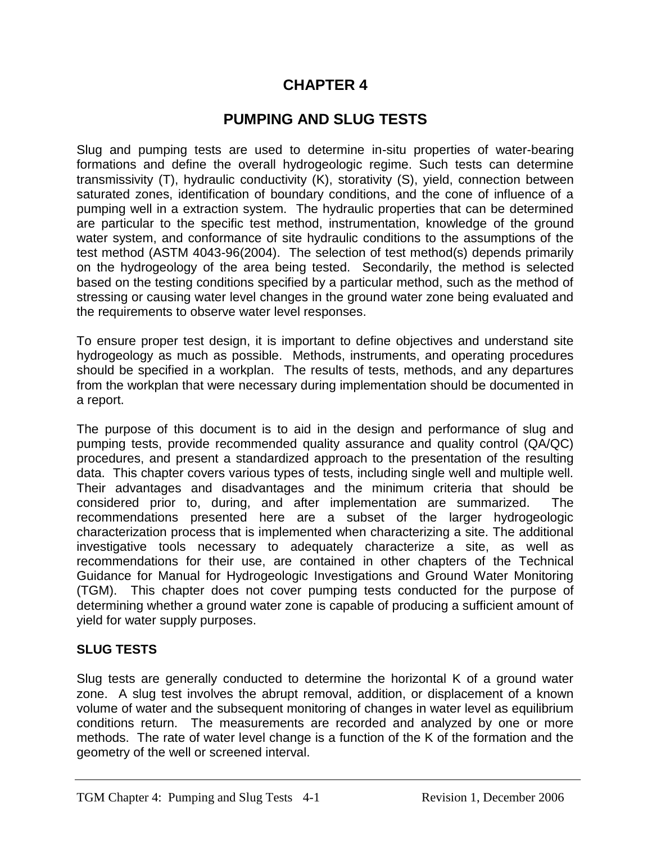# **CHAPTER 4**

# **PUMPING AND SLUG TESTS**

Slug and pumping tests are used to determine in-situ properties of water-bearing formations and define the overall hydrogeologic regime. Such tests can determine transmissivity (T), hydraulic conductivity (K), storativity (S), yield, connection between saturated zones, identification of boundary conditions, and the cone of influence of a pumping well in a extraction system. The hydraulic properties that can be determined are particular to the specific test method, instrumentation, knowledge of the ground water system, and conformance of site hydraulic conditions to the assumptions of the test method (ASTM 4043-96(2004). The selection of test method(s) depends primarily on the hydrogeology of the area being tested. Secondarily, the method is selected based on the testing conditions specified by a particular method, such as the method of stressing or causing water level changes in the ground water zone being evaluated and the requirements to observe water level responses.

To ensure proper test design, it is important to define objectives and understand site hydrogeology as much as possible. Methods, instruments, and operating procedures should be specified in a workplan. The results of tests, methods, and any departures from the workplan that were necessary during implementation should be documented in a report.

The purpose of this document is to aid in the design and performance of slug and pumping tests, provide recommended quality assurance and quality control (QA/QC) procedures, and present a standardized approach to the presentation of the resulting data. This chapter covers various types of tests, including single well and multiple well. Their advantages and disadvantages and the minimum criteria that should be considered prior to, during, and after implementation are summarized. The recommendations presented here are a subset of the larger hydrogeologic characterization process that is implemented when characterizing a site. The additional investigative tools necessary to adequately characterize a site, as well as recommendations for their use, are contained in other chapters of the Technical Guidance for Manual for Hydrogeologic Investigations and Ground Water Monitoring (TGM). This chapter does not cover pumping tests conducted for the purpose of determining whether a ground water zone is capable of producing a sufficient amount of yield for water supply purposes.

### **SLUG TESTS**

Slug tests are generally conducted to determine the horizontal K of a ground water zone. A slug test involves the abrupt removal, addition, or displacement of a known volume of water and the subsequent monitoring of changes in water level as equilibrium conditions return. The measurements are recorded and analyzed by one or more methods. The rate of water level change is a function of the K of the formation and the geometry of the well or screened interval.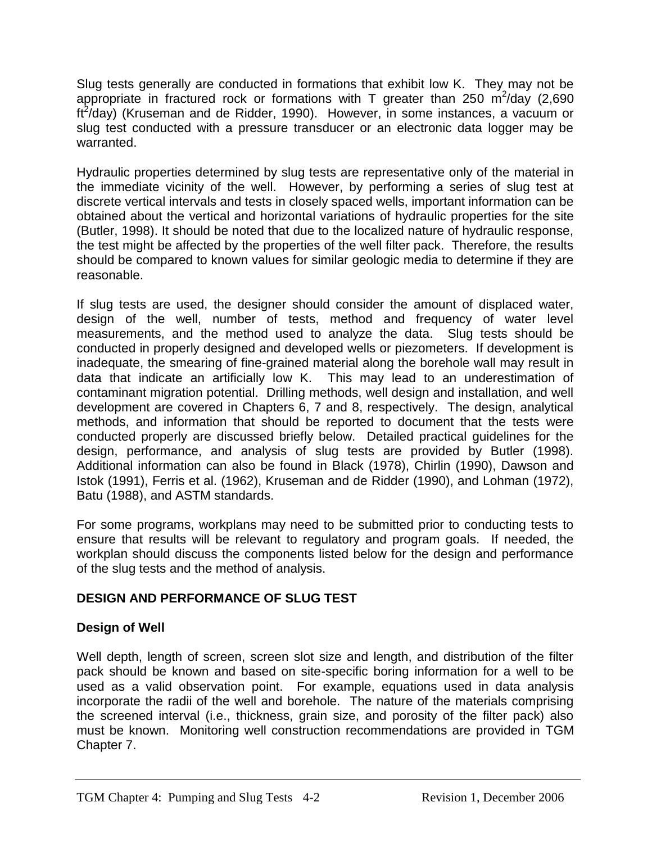Slug tests generally are conducted in formations that exhibit low K. They may not be appropriate in fractured rock or formations with T greater than 250  $\text{m}^2/\text{day}$  (2,690 ft<sup>2</sup>/day) (Kruseman and de Ridder, 1990). However, in some instances, a vacuum or slug test conducted with a pressure transducer or an electronic data logger may be warranted.

Hydraulic properties determined by slug tests are representative only of the material in the immediate vicinity of the well. However, by performing a series of slug test at discrete vertical intervals and tests in closely spaced wells, important information can be obtained about the vertical and horizontal variations of hydraulic properties for the site (Butler, 1998). It should be noted that due to the localized nature of hydraulic response, the test might be affected by the properties of the well filter pack. Therefore, the results should be compared to known values for similar geologic media to determine if they are reasonable.

If slug tests are used, the designer should consider the amount of displaced water, design of the well, number of tests, method and frequency of water level measurements, and the method used to analyze the data. Slug tests should be conducted in properly designed and developed wells or piezometers. If development is inadequate, the smearing of fine-grained material along the borehole wall may result in data that indicate an artificially low K. This may lead to an underestimation of contaminant migration potential. Drilling methods, well design and installation, and well development are covered in Chapters 6, 7 and 8, respectively. The design, analytical methods, and information that should be reported to document that the tests were conducted properly are discussed briefly below. Detailed practical guidelines for the design, performance, and analysis of slug tests are provided by Butler (1998). Additional information can also be found in Black (1978), Chirlin (1990), Dawson and Istok (1991), Ferris et al. (1962), Kruseman and de Ridder (1990), and Lohman (1972), Batu (1988), and ASTM standards.

For some programs, workplans may need to be submitted prior to conducting tests to ensure that results will be relevant to regulatory and program goals. If needed, the workplan should discuss the components listed below for the design and performance of the slug tests and the method of analysis.

# **DESIGN AND PERFORMANCE OF SLUG TEST**

# **Design of Well**

Well depth, length of screen, screen slot size and length, and distribution of the filter pack should be known and based on site-specific boring information for a well to be used as a valid observation point. For example, equations used in data analysis incorporate the radii of the well and borehole. The nature of the materials comprising the screened interval (i.e., thickness, grain size, and porosity of the filter pack) also must be known. Monitoring well construction recommendations are provided in TGM Chapter 7.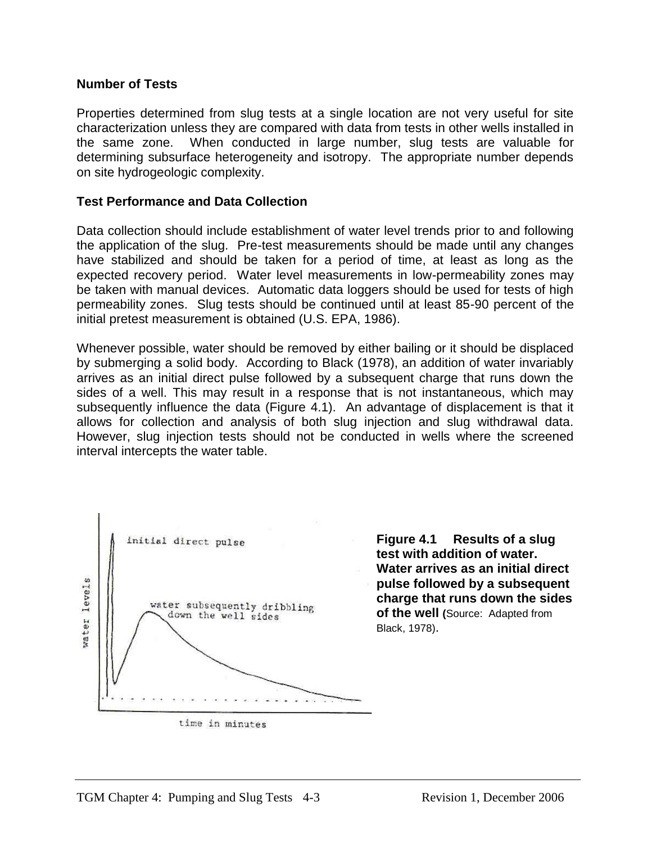#### **Number of Tests**

Properties determined from slug tests at a single location are not very useful for site characterization unless they are compared with data from tests in other wells installed in the same zone. When conducted in large number, slug tests are valuable for determining subsurface heterogeneity and isotropy. The appropriate number depends on site hydrogeologic complexity.

#### **Test Performance and Data Collection**

Data collection should include establishment of water level trends prior to and following the application of the slug. Pre-test measurements should be made until any changes have stabilized and should be taken for a period of time, at least as long as the expected recovery period. Water level measurements in low-permeability zones may be taken with manual devices. Automatic data loggers should be used for tests of high permeability zones. Slug tests should be continued until at least 85-90 percent of the initial pretest measurement is obtained (U.S. EPA, 1986).

Whenever possible, water should be removed by either bailing or it should be displaced by submerging a solid body. According to Black (1978), an addition of water invariably arrives as an initial direct pulse followed by a subsequent charge that runs down the sides of a well. This may result in a response that is not instantaneous, which may subsequently influence the data (Figure 4.1). An advantage of displacement is that it allows for collection and analysis of both slug injection and slug withdrawal data. However, slug injection tests should not be conducted in wells where the screened interval intercepts the water table.



**Figure 4.1 Results of a slug test with addition of water. Water arrives as an initial direct pulse followed by a subsequent charge that runs down the sides of the well (Source: Adapted from** Black, 1978).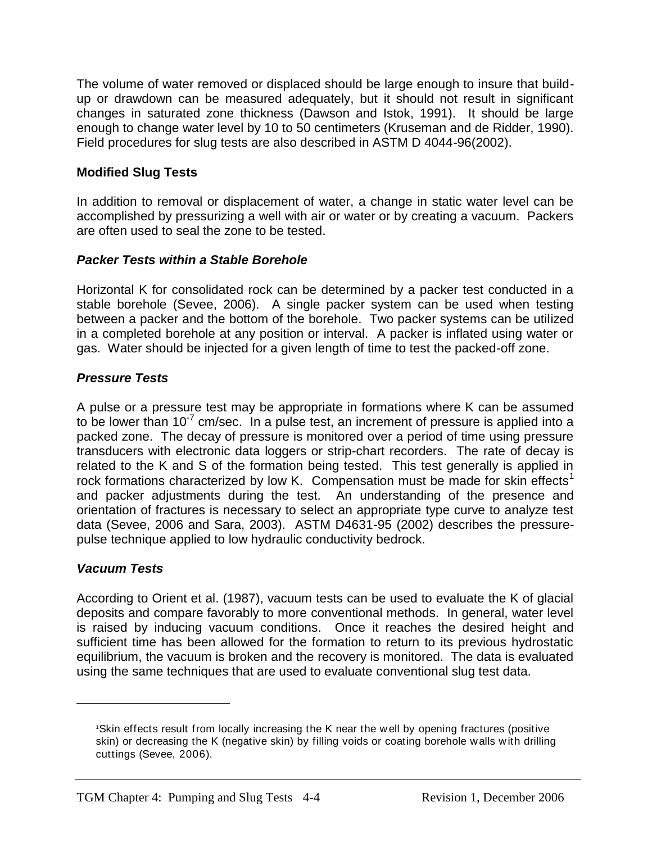The volume of water removed or displaced should be large enough to insure that buildup or drawdown can be measured adequately, but it should not result in significant changes in saturated zone thickness (Dawson and Istok, 1991). It should be large enough to change water level by 10 to 50 centimeters (Kruseman and de Ridder, 1990). Field procedures for slug tests are also described in ASTM D 4044-96(2002).

# **Modified Slug Tests**

In addition to removal or displacement of water, a change in static water level can be accomplished by pressurizing a well with air or water or by creating a vacuum. Packers are often used to seal the zone to be tested.

### *Packer Tests within a Stable Borehole*

Horizontal K for consolidated rock can be determined by a packer test conducted in a stable borehole (Sevee, 2006). A single packer system can be used when testing between a packer and the bottom of the borehole. Two packer systems can be utilized in a completed borehole at any position or interval. A packer is inflated using water or gas. Water should be injected for a given length of time to test the packed-off zone.

# *Pressure Tests*

A pulse or a pressure test may be appropriate in formations where K can be assumed to be lower than 10<sup>-7</sup> cm/sec. In a pulse test, an increment of pressure is applied into a packed zone. The decay of pressure is monitored over a period of time using pressure transducers with electronic data loggers or strip-chart recorders. The rate of decay is related to the K and S of the formation being tested. This test generally is applied in rock formations characterized by low K. Compensation must be made for skin effects<sup>1</sup> and packer adjustments during the test. An understanding of the presence and orientation of fractures is necessary to select an appropriate type curve to analyze test data (Sevee, 2006 and Sara, 2003). ASTM D4631-95 (2002) describes the pressurepulse technique applied to low hydraulic conductivity bedrock.

### *Vacuum Tests*

 $\overline{a}$ 

According to Orient et al. (1987), vacuum tests can be used to evaluate the K of glacial deposits and compare favorably to more conventional methods. In general, water level is raised by inducing vacuum conditions. Once it reaches the desired height and sufficient time has been allowed for the formation to return to its previous hydrostatic equilibrium, the vacuum is broken and the recovery is monitored. The data is evaluated using the same techniques that are used to evaluate conventional slug test data.

<sup>1</sup>Skin effects result from locally increasing the K near the w ell by opening fractures (positive skin) or decreasing the K (negative skin) by filling voids or coating borehole walls w ith drilling cuttings (Sevee, 2006).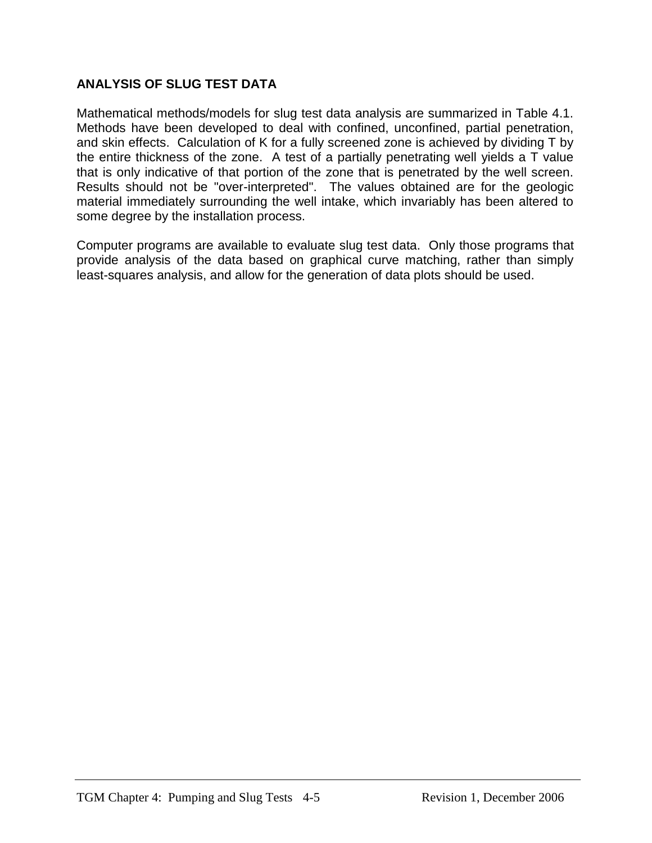# **ANALYSIS OF SLUG TEST DATA**

Mathematical methods/models for slug test data analysis are summarized in Table 4.1. Methods have been developed to deal with confined, unconfined, partial penetration, and skin effects. Calculation of K for a fully screened zone is achieved by dividing T by the entire thickness of the zone. A test of a partially penetrating well yields a T value that is only indicative of that portion of the zone that is penetrated by the well screen. Results should not be "over-interpreted". The values obtained are for the geologic material immediately surrounding the well intake, which invariably has been altered to some degree by the installation process.

Computer programs are available to evaluate slug test data. Only those programs that provide analysis of the data based on graphical curve matching, rather than simply least-squares analysis, and allow for the generation of data plots should be used.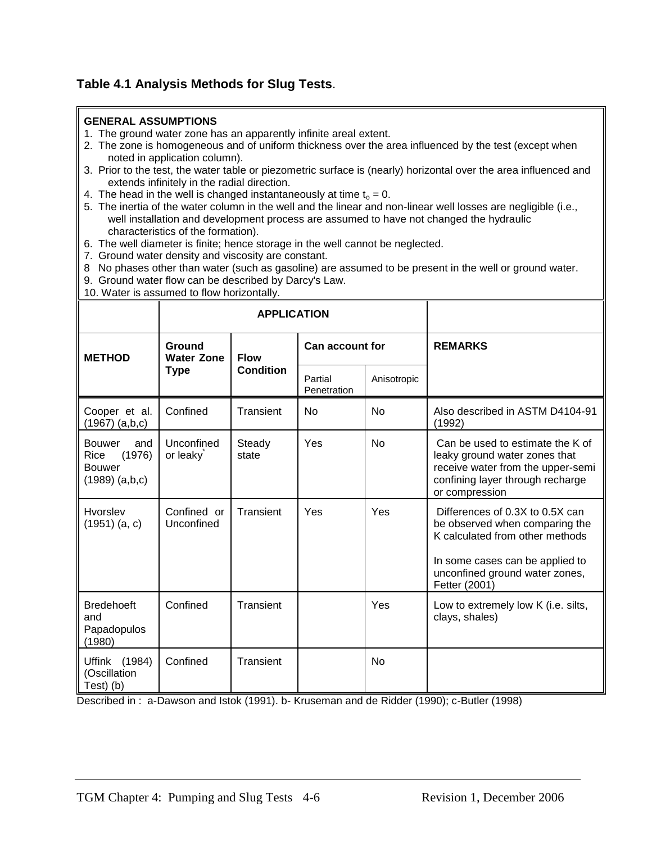# **Table 4.1 Analysis Methods for Slug Tests**.

#### **GENERAL ASSUMPTIONS**

- 1. The ground water zone has an apparently infinite areal extent.
- 2. The zone is homogeneous and of uniform thickness over the area influenced by the test (except when noted in application column).
- 3. Prior to the test, the water table or piezometric surface is (nearly) horizontal over the area influenced and extends infinitely in the radial direction.
- 4. The head in the well is changed instantaneously at time  $t_0 = 0$ .
- 5. The inertia of the water column in the well and the linear and non-linear well losses are negligible (i.e., well installation and development process are assumed to have not changed the hydraulic characteristics of the formation).
- 6. The well diameter is finite; hence storage in the well cannot be neglected.
- 7. Ground water density and viscosity are constant.
- 8 No phases other than water (such as gasoline) are assumed to be present in the well or ground water.
- 9. Ground water flow can be described by Darcy's Law.
- 10. Water is assumed to flow horizontally.

|                                                                               |                             | <b>APPLICATION</b> |                        |             |                                                                                                                                                                                            |
|-------------------------------------------------------------------------------|-----------------------------|--------------------|------------------------|-------------|--------------------------------------------------------------------------------------------------------------------------------------------------------------------------------------------|
| <b>METHOD</b>                                                                 | Ground<br><b>Water Zone</b> | <b>Flow</b>        | <b>Can account for</b> |             | <b>REMARKS</b>                                                                                                                                                                             |
|                                                                               | <b>Type</b>                 | <b>Condition</b>   | Partial<br>Penetration | Anisotropic |                                                                                                                                                                                            |
| Cooper et al.<br>(1967) (a,b,c)                                               | Confined                    | Transient          | <b>No</b>              | No          | Also described in ASTM D4104-91<br>(1992)                                                                                                                                                  |
| <b>Bouwer</b><br>and<br>(1976)<br>Rice<br><b>Bouwer</b><br>$(1989)$ $(a,b,c)$ | Unconfined<br>or leaky      | Steady<br>state    | Yes                    | <b>No</b>   | Can be used to estimate the K of<br>leaky ground water zones that<br>receive water from the upper-semi<br>confining layer through recharge<br>or compression                               |
| Hvorslev<br>$(1951)$ (a, c)                                                   | Confined or<br>Unconfined   | Transient          | Yes                    | Yes         | Differences of 0.3X to 0.5X can<br>be observed when comparing the<br>K calculated from other methods<br>In some cases can be applied to<br>unconfined ground water zones,<br>Fetter (2001) |
| <b>Bredehoeft</b><br>and<br>Papadopulos<br>(1980)                             | Confined                    | Transient          |                        | Yes         | Low to extremely low K (i.e. silts,<br>clays, shales)                                                                                                                                      |
| Uffink (1984)<br>(Oscillation<br>Test) (b)                                    | Confined                    | Transient          |                        | <b>No</b>   |                                                                                                                                                                                            |

Described in : a-Dawson and Istok (1991). b- Kruseman and de Ridder (1990); c-Butler (1998)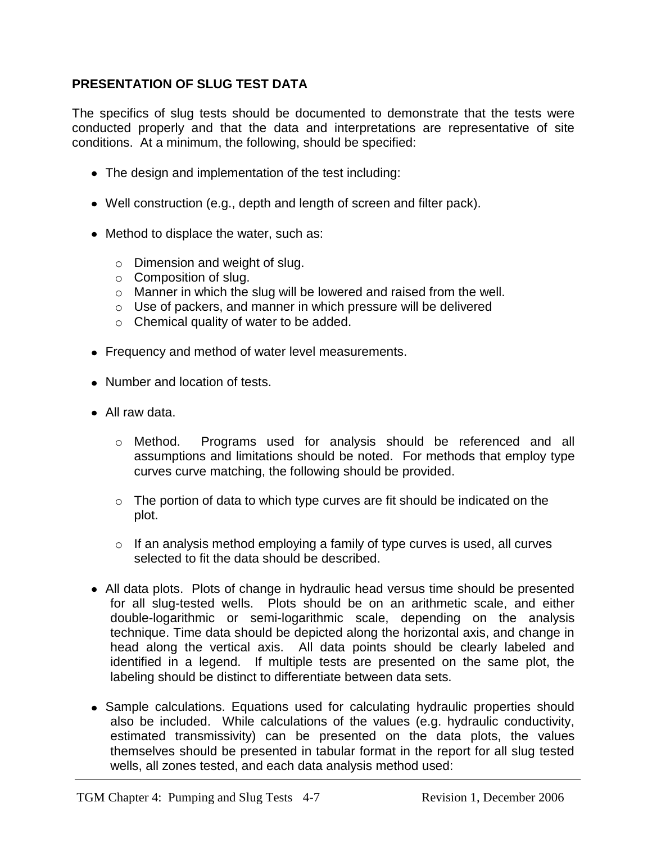# **PRESENTATION OF SLUG TEST DATA**

The specifics of slug tests should be documented to demonstrate that the tests were conducted properly and that the data and interpretations are representative of site conditions. At a minimum, the following, should be specified:

- The design and implementation of the test including:
- Well construction (e.g., depth and length of screen and filter pack).
- Method to displace the water, such as:
	- o Dimension and weight of slug.
	- o Composition of slug.
	- o Manner in which the slug will be lowered and raised from the well.
	- o Use of packers, and manner in which pressure will be delivered
	- o Chemical quality of water to be added.
- Frequency and method of water level measurements.
- Number and location of tests.
- All raw data.
	- o Method. Programs used for analysis should be referenced and all assumptions and limitations should be noted. For methods that employ type curves curve matching, the following should be provided.
	- $\circ$  The portion of data to which type curves are fit should be indicated on the plot.
	- $\circ$  If an analysis method employing a family of type curves is used, all curves selected to fit the data should be described.
- All data plots. Plots of change in hydraulic head versus time should be presented for all slug-tested wells. Plots should be on an arithmetic scale, and either double-logarithmic or semi-logarithmic scale, depending on the analysis technique. Time data should be depicted along the horizontal axis, and change in head along the vertical axis. All data points should be clearly labeled and identified in a legend. If multiple tests are presented on the same plot, the labeling should be distinct to differentiate between data sets.
- Sample calculations. Equations used for calculating hydraulic properties should also be included. While calculations of the values (e.g. hydraulic conductivity, estimated transmissivity) can be presented on the data plots, the values themselves should be presented in tabular format in the report for all slug tested wells, all zones tested, and each data analysis method used: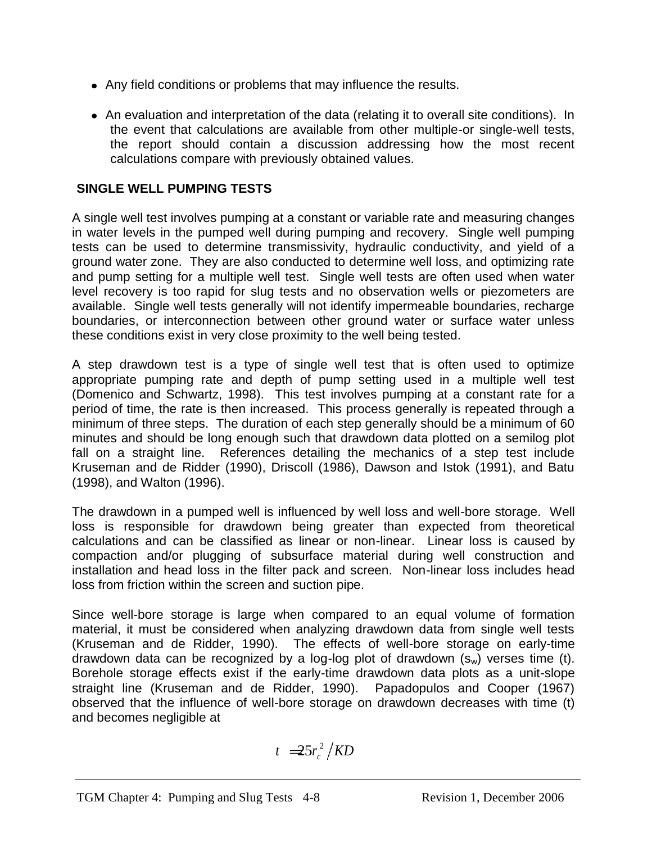- Any field conditions or problems that may influence the results.
- An evaluation and interpretation of the data (relating it to overall site conditions). In the event that calculations are available from other multiple-or single-well tests, the report should contain a discussion addressing how the most recent calculations compare with previously obtained values.

# **SINGLE WELL PUMPING TESTS**

A single well test involves pumping at a constant or variable rate and measuring changes in water levels in the pumped well during pumping and recovery. Single well pumping tests can be used to determine transmissivity, hydraulic conductivity, and yield of a ground water zone. They are also conducted to determine well loss, and optimizing rate and pump setting for a multiple well test. Single well tests are often used when water level recovery is too rapid for slug tests and no observation wells or piezometers are available. Single well tests generally will not identify impermeable boundaries, recharge boundaries, or interconnection between other ground water or surface water unless these conditions exist in very close proximity to the well being tested.

A step drawdown test is a type of single well test that is often used to optimize appropriate pumping rate and depth of pump setting used in a multiple well test (Domenico and Schwartz, 1998). This test involves pumping at a constant rate for a period of time, the rate is then increased. This process generally is repeated through a minimum of three steps. The duration of each step generally should be a minimum of 60 minutes and should be long enough such that drawdown data plotted on a semilog plot fall on a straight line. References detailing the mechanics of a step test include Kruseman and de Ridder (1990), Driscoll (1986), Dawson and Istok (1991), and Batu (1998), and Walton (1996).

The drawdown in a pumped well is influenced by well loss and well-bore storage. Well loss is responsible for drawdown being greater than expected from theoretical calculations and can be classified as linear or non-linear. Linear loss is caused by compaction and/or plugging of subsurface material during well construction and installation and head loss in the filter pack and screen. Non-linear loss includes head loss from friction within the screen and suction pipe.

Since well-bore storage is large when compared to an equal volume of formation material, it must be considered when analyzing drawdown data from single well tests (Kruseman and de Ridder, 1990). The effects of well-bore storage on early-time drawdown data can be recognized by a log-log plot of drawdown  $(s_w)$  verses time (t). Borehole storage effects exist if the early-time drawdown data plots as a unit-slope straight line (Kruseman and de Ridder, 1990). Papadopulos and Cooper (1967) observed that the influence of well-bore storage on drawdown decreases with time (t) and becomes negligible at

$$
t = 25r_c^2 / KD
$$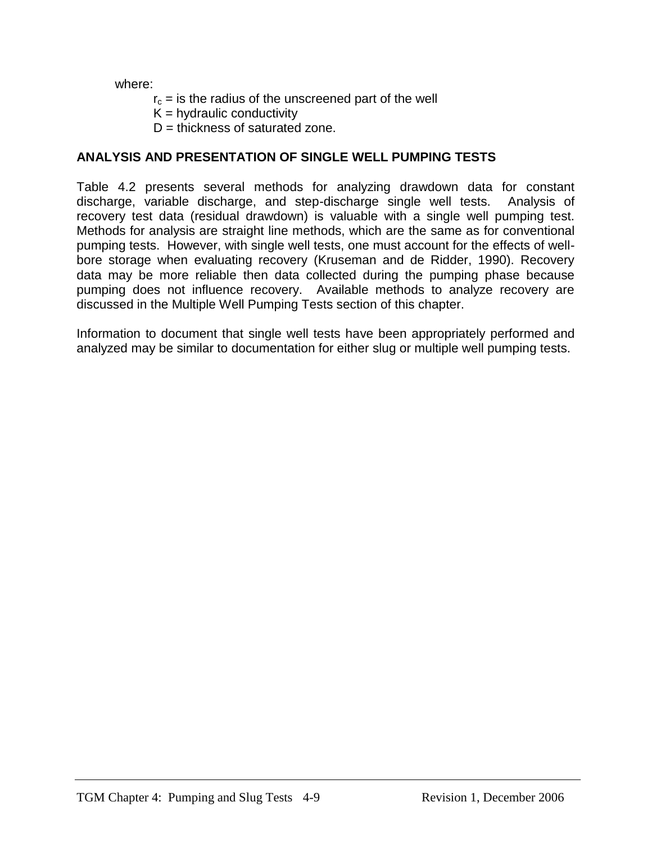where:

- $r_c$  = is the radius of the unscreened part of the well
- $K =$  hydraulic conductivity
- $D =$  thickness of saturated zone.

# **ANALYSIS AND PRESENTATION OF SINGLE WELL PUMPING TESTS**

Table 4.2 presents several methods for analyzing drawdown data for constant discharge, variable discharge, and step-discharge single well tests. Analysis of recovery test data (residual drawdown) is valuable with a single well pumping test. Methods for analysis are straight line methods, which are the same as for conventional pumping tests. However, with single well tests, one must account for the effects of wellbore storage when evaluating recovery (Kruseman and de Ridder, 1990). Recovery data may be more reliable then data collected during the pumping phase because pumping does not influence recovery. Available methods to analyze recovery are discussed in the Multiple Well Pumping Tests section of this chapter.

Information to document that single well tests have been appropriately performed and analyzed may be similar to documentation for either slug or multiple well pumping tests.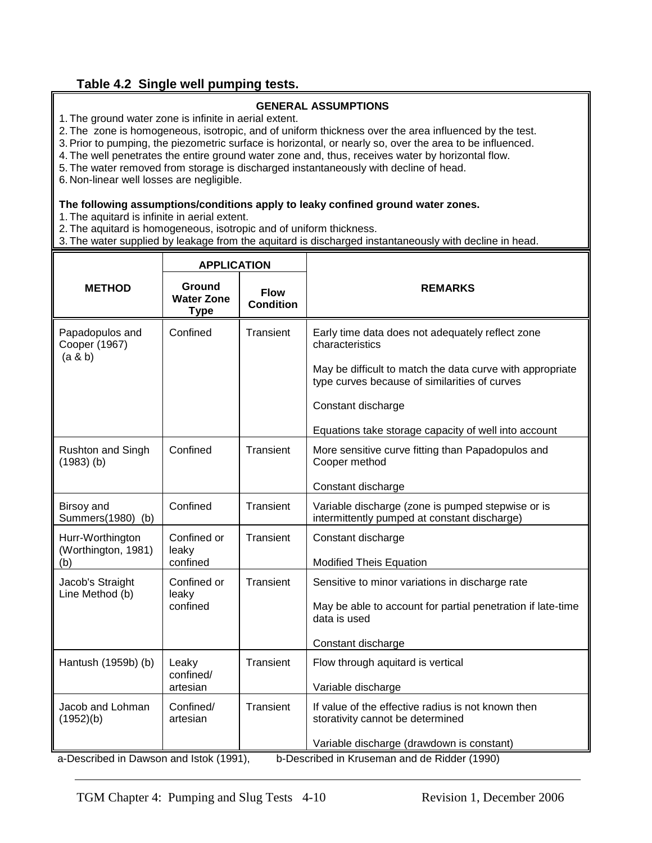#### **Table 4.2 Single well pumping tests.**

#### **GENERAL ASSUMPTIONS**

1. The ground water zone is infinite in aerial extent.

2. The zone is homogeneous, isotropic, and of uniform thickness over the area influenced by the test.

3.Prior to pumping, the piezometric surface is horizontal, or nearly so, over the area to be influenced.

4. The well penetrates the entire ground water zone and, thus, receives water by horizontal flow.

5. The water removed from storage is discharged instantaneously with decline of head.

6. Non-linear well losses are negligible.

#### **The following assumptions/conditions apply to leaky confined ground water zones.**

1. The aquitard is infinite in aerial extent.

2. The aquitard is homogeneous, isotropic and of uniform thickness.

3. The water supplied by leakage from the aquitard is discharged instantaneously with decline in head.

|                                                | <b>APPLICATION</b>                         |                                 |                                                                                                                                                                                                                                                                 |  |
|------------------------------------------------|--------------------------------------------|---------------------------------|-----------------------------------------------------------------------------------------------------------------------------------------------------------------------------------------------------------------------------------------------------------------|--|
| <b>METHOD</b>                                  | Ground<br><b>Water Zone</b><br><b>Type</b> | <b>Flow</b><br><b>Condition</b> | <b>REMARKS</b>                                                                                                                                                                                                                                                  |  |
| Papadopulos and<br>Cooper (1967)<br>(a & b)    | Confined                                   | Transient                       | Early time data does not adequately reflect zone<br>characteristics<br>May be difficult to match the data curve with appropriate<br>type curves because of similarities of curves<br>Constant discharge<br>Equations take storage capacity of well into account |  |
| Rushton and Singh<br>$(1983)$ (b)              | Confined                                   | Transient                       | More sensitive curve fitting than Papadopulos and<br>Cooper method<br>Constant discharge                                                                                                                                                                        |  |
| Birsoy and<br>Summers(1980) (b)                | Confined                                   | Transient                       | Variable discharge (zone is pumped stepwise or is<br>intermittently pumped at constant discharge)                                                                                                                                                               |  |
| Hurr-Worthington<br>(Worthington, 1981)<br>(b) | Confined or<br>leaky<br>confined           | Transient                       | Constant discharge<br><b>Modified Theis Equation</b>                                                                                                                                                                                                            |  |
| Jacob's Straight<br>Line Method (b)            | Confined or<br>leaky<br>confined           | Transient                       | Sensitive to minor variations in discharge rate<br>May be able to account for partial penetration if late-time<br>data is used<br>Constant discharge                                                                                                            |  |
| Hantush (1959b) (b)                            | Leaky<br>confined/<br>artesian             | Transient                       | Flow through aquitard is vertical<br>Variable discharge                                                                                                                                                                                                         |  |
| Jacob and Lohman<br>(1952)(b)                  | Confined/<br>artesian                      | Transient                       | If value of the effective radius is not known then<br>storativity cannot be determined                                                                                                                                                                          |  |
| a-Described in Dawson and Istok (1991),        |                                            |                                 | Variable discharge (drawdown is constant)<br>b-Described in Kruseman and de Ridder (1990)                                                                                                                                                                       |  |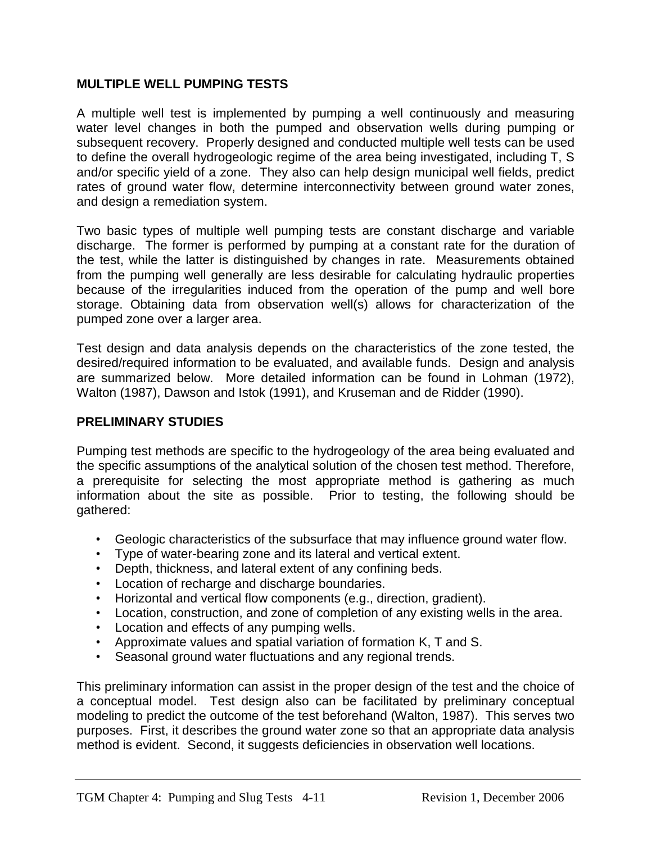#### **MULTIPLE WELL PUMPING TESTS**

A multiple well test is implemented by pumping a well continuously and measuring water level changes in both the pumped and observation wells during pumping or subsequent recovery. Properly designed and conducted multiple well tests can be used to define the overall hydrogeologic regime of the area being investigated, including T, S and/or specific yield of a zone. They also can help design municipal well fields, predict rates of ground water flow, determine interconnectivity between ground water zones, and design a remediation system.

Two basic types of multiple well pumping tests are constant discharge and variable discharge. The former is performed by pumping at a constant rate for the duration of the test, while the latter is distinguished by changes in rate. Measurements obtained from the pumping well generally are less desirable for calculating hydraulic properties because of the irregularities induced from the operation of the pump and well bore storage. Obtaining data from observation well(s) allows for characterization of the pumped zone over a larger area.

Test design and data analysis depends on the characteristics of the zone tested, the desired/required information to be evaluated, and available funds. Design and analysis are summarized below. More detailed information can be found in Lohman (1972), Walton (1987), Dawson and Istok (1991), and Kruseman and de Ridder (1990).

### **PRELIMINARY STUDIES**

Pumping test methods are specific to the hydrogeology of the area being evaluated and the specific assumptions of the analytical solution of the chosen test method. Therefore, a prerequisite for selecting the most appropriate method is gathering as much information about the site as possible. Prior to testing, the following should be gathered:

- Geologic characteristics of the subsurface that may influence ground water flow.
- Type of water-bearing zone and its lateral and vertical extent.
- Depth, thickness, and lateral extent of any confining beds.
- Location of recharge and discharge boundaries.
- Horizontal and vertical flow components (e.g., direction, gradient).
- Location, construction, and zone of completion of any existing wells in the area.
- Location and effects of any pumping wells.
- Approximate values and spatial variation of formation K, T and S.
- Seasonal ground water fluctuations and any regional trends.

This preliminary information can assist in the proper design of the test and the choice of a conceptual model. Test design also can be facilitated by preliminary conceptual modeling to predict the outcome of the test beforehand (Walton, 1987). This serves two purposes. First, it describes the ground water zone so that an appropriate data analysis method is evident. Second, it suggests deficiencies in observation well locations.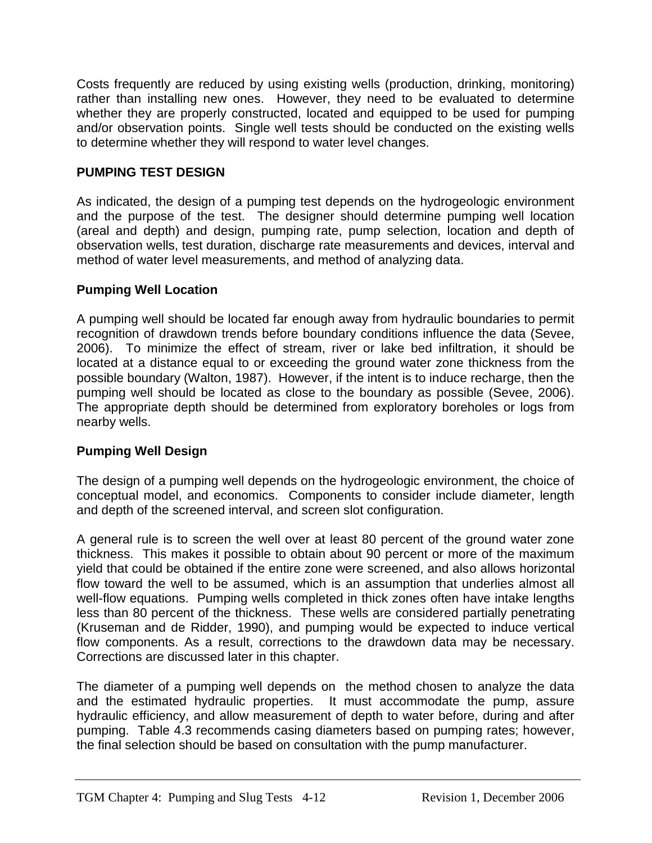Costs frequently are reduced by using existing wells (production, drinking, monitoring) rather than installing new ones. However, they need to be evaluated to determine whether they are properly constructed, located and equipped to be used for pumping and/or observation points. Single well tests should be conducted on the existing wells to determine whether they will respond to water level changes.

### **PUMPING TEST DESIGN**

As indicated, the design of a pumping test depends on the hydrogeologic environment and the purpose of the test. The designer should determine pumping well location (areal and depth) and design, pumping rate, pump selection, location and depth of observation wells, test duration, discharge rate measurements and devices, interval and method of water level measurements, and method of analyzing data.

#### **Pumping Well Location**

A pumping well should be located far enough away from hydraulic boundaries to permit recognition of drawdown trends before boundary conditions influence the data (Sevee, 2006). To minimize the effect of stream, river or lake bed infiltration, it should be located at a distance equal to or exceeding the ground water zone thickness from the possible boundary (Walton, 1987). However, if the intent is to induce recharge, then the pumping well should be located as close to the boundary as possible (Sevee, 2006). The appropriate depth should be determined from exploratory boreholes or logs from nearby wells.

### **Pumping Well Design**

The design of a pumping well depends on the hydrogeologic environment, the choice of conceptual model, and economics. Components to consider include diameter, length and depth of the screened interval, and screen slot configuration.

A general rule is to screen the well over at least 80 percent of the ground water zone thickness. This makes it possible to obtain about 90 percent or more of the maximum yield that could be obtained if the entire zone were screened, and also allows horizontal flow toward the well to be assumed, which is an assumption that underlies almost all well-flow equations. Pumping wells completed in thick zones often have intake lengths less than 80 percent of the thickness. These wells are considered partially penetrating (Kruseman and de Ridder, 1990), and pumping would be expected to induce vertical flow components. As a result, corrections to the drawdown data may be necessary. Corrections are discussed later in this chapter.

The diameter of a pumping well depends on the method chosen to analyze the data and the estimated hydraulic properties. It must accommodate the pump, assure hydraulic efficiency, and allow measurement of depth to water before, during and after pumping. Table 4.3 recommends casing diameters based on pumping rates; however, the final selection should be based on consultation with the pump manufacturer.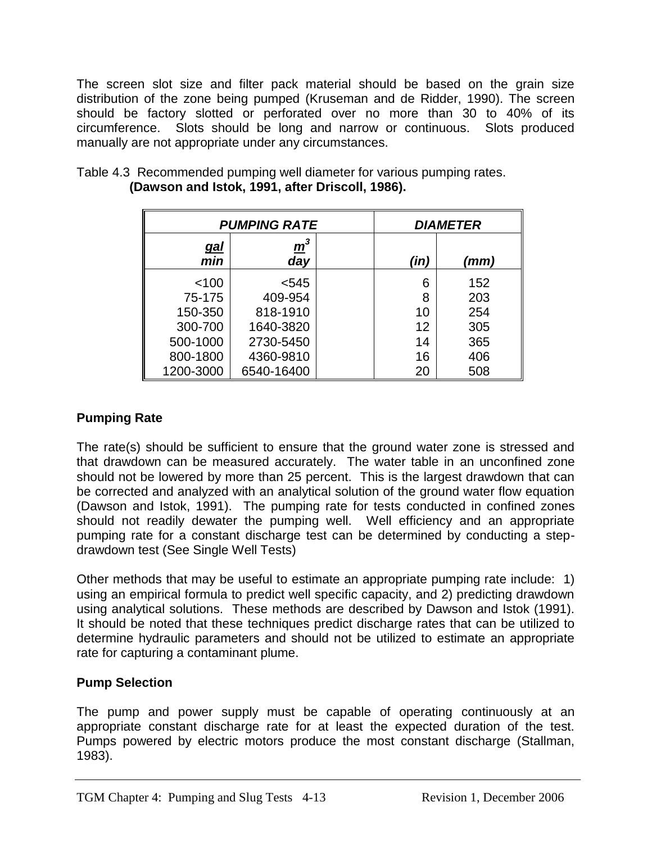The screen slot size and filter pack material should be based on the grain size distribution of the zone being pumped (Kruseman and de Ridder, 1990). The screen should be factory slotted or perforated over no more than 30 to 40% of its circumference. Slots should be long and narrow or continuous. Slots produced manually are not appropriate under any circumstances.

|                                            | <b>PUMPING RATE</b> |      | <i><b>DIAMETER</b></i> |     |
|--------------------------------------------|---------------------|------|------------------------|-----|
| $\mathbf{m}^3$<br><u>gal</u><br>day<br>min |                     | (in) | (mm)                   |     |
| 100                                        | $545$               |      | 6                      | 152 |
| 75-175                                     | 409-954             |      | 8                      | 203 |
| 150-350                                    | 818-1910            |      | 10                     | 254 |
| 300-700                                    | 1640-3820           |      | 12                     | 305 |
| 500-1000                                   | 2730-5450           |      | 14                     | 365 |
| 800-1800                                   | 4360-9810           |      | 16                     | 406 |
| 1200-3000                                  | 6540-16400          |      | 20                     | 508 |

Table 4.3 Recommended pumping well diameter for various pumping rates. **(Dawson and Istok, 1991, after Driscoll, 1986).**

# **Pumping Rate**

The rate(s) should be sufficient to ensure that the ground water zone is stressed and that drawdown can be measured accurately. The water table in an unconfined zone should not be lowered by more than 25 percent. This is the largest drawdown that can be corrected and analyzed with an analytical solution of the ground water flow equation (Dawson and Istok, 1991). The pumping rate for tests conducted in confined zones should not readily dewater the pumping well. Well efficiency and an appropriate pumping rate for a constant discharge test can be determined by conducting a stepdrawdown test (See Single Well Tests)

Other methods that may be useful to estimate an appropriate pumping rate include: 1) using an empirical formula to predict well specific capacity, and 2) predicting drawdown using analytical solutions. These methods are described by Dawson and Istok (1991). It should be noted that these techniques predict discharge rates that can be utilized to determine hydraulic parameters and should not be utilized to estimate an appropriate rate for capturing a contaminant plume.

### **Pump Selection**

The pump and power supply must be capable of operating continuously at an appropriate constant discharge rate for at least the expected duration of the test. Pumps powered by electric motors produce the most constant discharge (Stallman, 1983).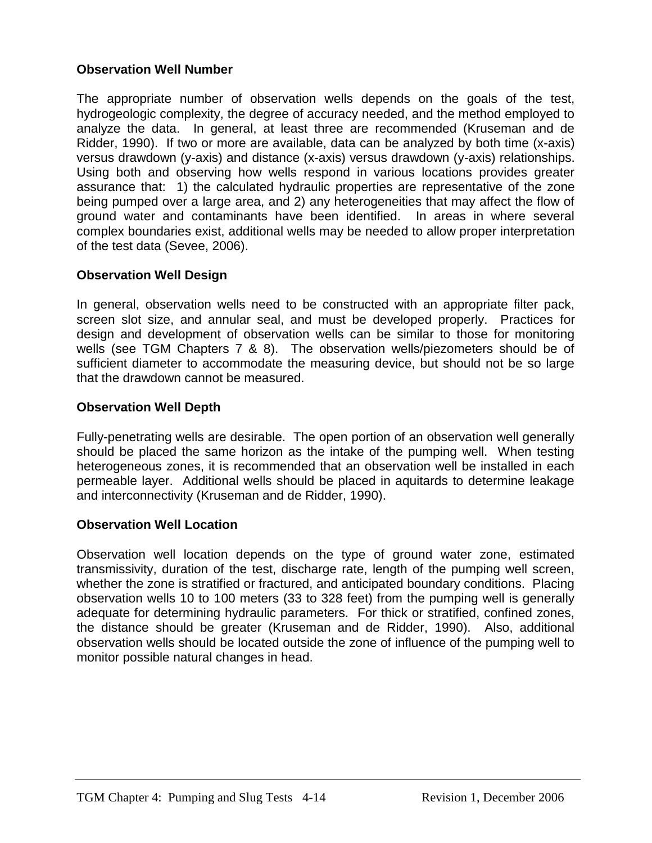#### **Observation Well Number**

The appropriate number of observation wells depends on the goals of the test, hydrogeologic complexity, the degree of accuracy needed, and the method employed to analyze the data. In general, at least three are recommended (Kruseman and de Ridder, 1990). If two or more are available, data can be analyzed by both time (x-axis) versus drawdown (y-axis) and distance (x-axis) versus drawdown (y-axis) relationships. Using both and observing how wells respond in various locations provides greater assurance that: 1) the calculated hydraulic properties are representative of the zone being pumped over a large area, and 2) any heterogeneities that may affect the flow of ground water and contaminants have been identified. In areas in where several complex boundaries exist, additional wells may be needed to allow proper interpretation of the test data (Sevee, 2006).

#### **Observation Well Design**

In general, observation wells need to be constructed with an appropriate filter pack, screen slot size, and annular seal, and must be developed properly. Practices for design and development of observation wells can be similar to those for monitoring wells (see TGM Chapters 7 & 8). The observation wells/piezometers should be of sufficient diameter to accommodate the measuring device, but should not be so large that the drawdown cannot be measured.

#### **Observation Well Depth**

Fully-penetrating wells are desirable. The open portion of an observation well generally should be placed the same horizon as the intake of the pumping well. When testing heterogeneous zones, it is recommended that an observation well be installed in each permeable layer. Additional wells should be placed in aquitards to determine leakage and interconnectivity (Kruseman and de Ridder, 1990).

#### **Observation Well Location**

Observation well location depends on the type of ground water zone, estimated transmissivity, duration of the test, discharge rate, length of the pumping well screen, whether the zone is stratified or fractured, and anticipated boundary conditions. Placing observation wells 10 to 100 meters (33 to 328 feet) from the pumping well is generally adequate for determining hydraulic parameters. For thick or stratified, confined zones, the distance should be greater (Kruseman and de Ridder, 1990). Also, additional observation wells should be located outside the zone of influence of the pumping well to monitor possible natural changes in head.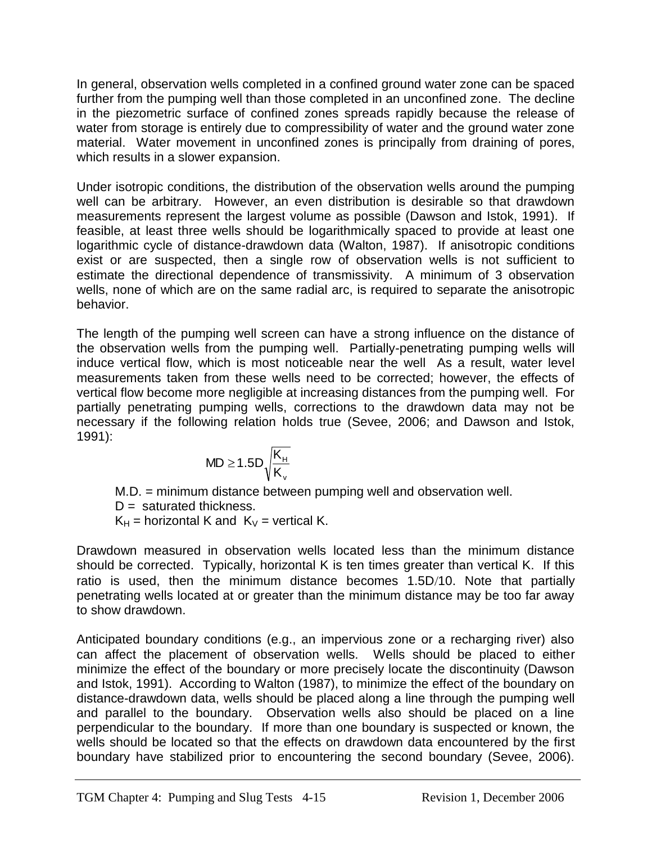In general, observation wells completed in a confined ground water zone can be spaced further from the pumping well than those completed in an unconfined zone. The decline in the piezometric surface of confined zones spreads rapidly because the release of water from storage is entirely due to compressibility of water and the ground water zone material. Water movement in unconfined zones is principally from draining of pores, which results in a slower expansion.

Under isotropic conditions, the distribution of the observation wells around the pumping well can be arbitrary. However, an even distribution is desirable so that drawdown measurements represent the largest volume as possible (Dawson and Istok, 1991). If feasible, at least three wells should be logarithmically spaced to provide at least one logarithmic cycle of distance-drawdown data (Walton, 1987). If anisotropic conditions exist or are suspected, then a single row of observation wells is not sufficient to estimate the directional dependence of transmissivity. A minimum of 3 observation wells, none of which are on the same radial arc, is required to separate the anisotropic behavior.

The length of the pumping well screen can have a strong influence on the distance of the observation wells from the pumping well. Partially-penetrating pumping wells will induce vertical flow, which is most noticeable near the well As a result, water level measurements taken from these wells need to be corrected; however, the effects of vertical flow become more negligible at increasing distances from the pumping well. For partially penetrating pumping wells, corrections to the drawdown data may not be necessary if the following relation holds true (Sevee, 2006; and Dawson and Istok, 1991):

$$
MD \geq 1.5D\sqrt{\frac{K_{_H}}{K_{_v}}}
$$

M.D. = minimum distance between pumping well and observation well.

 $D =$  saturated thickness.

 $K_H$  = horizontal K and  $K_V$  = vertical K.

Drawdown measured in observation wells located less than the minimum distance should be corrected. Typically, horizontal K is ten times greater than vertical K. If this ratio is used, then the minimum distance becomes 1.5D/10. Note that partially penetrating wells located at or greater than the minimum distance may be too far away to show drawdown.

Anticipated boundary conditions (e.g., an impervious zone or a recharging river) also can affect the placement of observation wells. Wells should be placed to either minimize the effect of the boundary or more precisely locate the discontinuity (Dawson and Istok, 1991). According to Walton (1987), to minimize the effect of the boundary on distance-drawdown data, wells should be placed along a line through the pumping well and parallel to the boundary. Observation wells also should be placed on a line perpendicular to the boundary. If more than one boundary is suspected or known, the wells should be located so that the effects on drawdown data encountered by the first boundary have stabilized prior to encountering the second boundary (Sevee, 2006).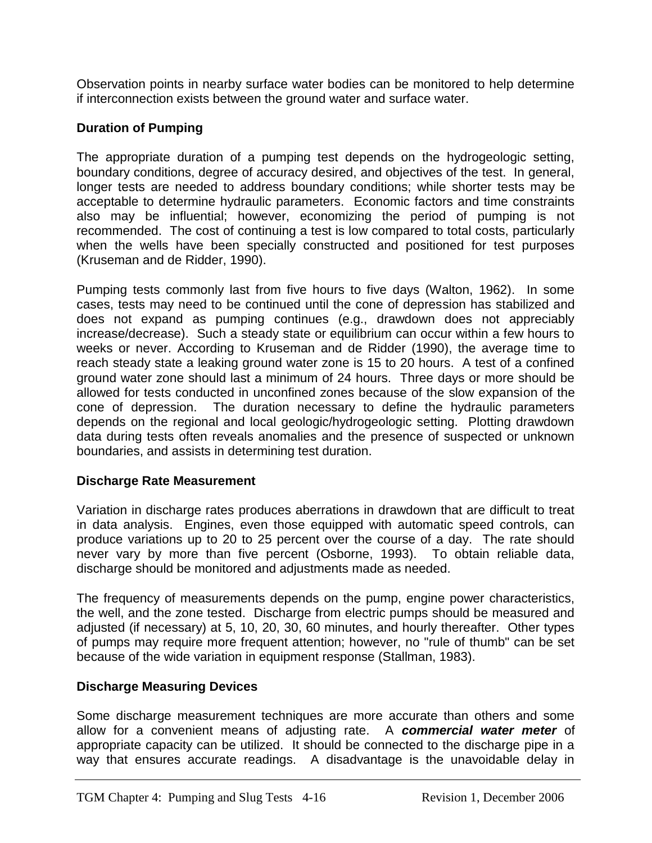Observation points in nearby surface water bodies can be monitored to help determine if interconnection exists between the ground water and surface water.

# **Duration of Pumping**

The appropriate duration of a pumping test depends on the hydrogeologic setting, boundary conditions, degree of accuracy desired, and objectives of the test. In general, longer tests are needed to address boundary conditions; while shorter tests may be acceptable to determine hydraulic parameters. Economic factors and time constraints also may be influential; however, economizing the period of pumping is not recommended. The cost of continuing a test is low compared to total costs, particularly when the wells have been specially constructed and positioned for test purposes (Kruseman and de Ridder, 1990).

Pumping tests commonly last from five hours to five days (Walton, 1962). In some cases, tests may need to be continued until the cone of depression has stabilized and does not expand as pumping continues (e.g., drawdown does not appreciably increase/decrease). Such a steady state or equilibrium can occur within a few hours to weeks or never. According to Kruseman and de Ridder (1990), the average time to reach steady state a leaking ground water zone is 15 to 20 hours. A test of a confined ground water zone should last a minimum of 24 hours. Three days or more should be allowed for tests conducted in unconfined zones because of the slow expansion of the cone of depression. The duration necessary to define the hydraulic parameters depends on the regional and local geologic/hydrogeologic setting. Plotting drawdown data during tests often reveals anomalies and the presence of suspected or unknown boundaries, and assists in determining test duration.

### **Discharge Rate Measurement**

Variation in discharge rates produces aberrations in drawdown that are difficult to treat in data analysis. Engines, even those equipped with automatic speed controls, can produce variations up to 20 to 25 percent over the course of a day. The rate should never vary by more than five percent (Osborne, 1993). To obtain reliable data, discharge should be monitored and adjustments made as needed.

The frequency of measurements depends on the pump, engine power characteristics, the well, and the zone tested. Discharge from electric pumps should be measured and adjusted (if necessary) at 5, 10, 20, 30, 60 minutes, and hourly thereafter. Other types of pumps may require more frequent attention; however, no "rule of thumb" can be set because of the wide variation in equipment response (Stallman, 1983).

### **Discharge Measuring Devices**

Some discharge measurement techniques are more accurate than others and some allow for a convenient means of adjusting rate. A *commercial water meter* of appropriate capacity can be utilized. It should be connected to the discharge pipe in a way that ensures accurate readings. A disadvantage is the unavoidable delay in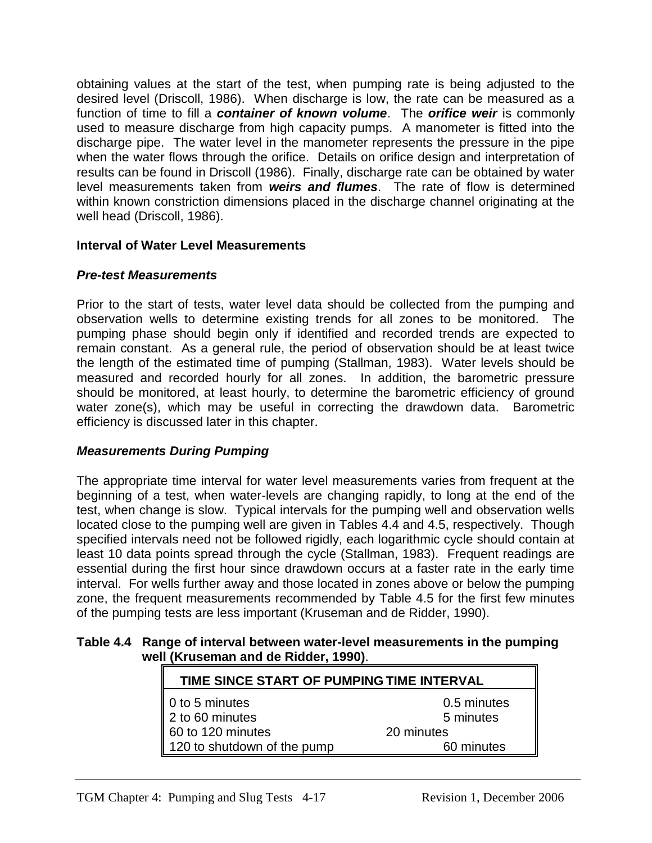obtaining values at the start of the test, when pumping rate is being adjusted to the desired level (Driscoll, 1986). When discharge is low, the rate can be measured as a function of time to fill a *container of known volume*. The *orifice weir* is commonly used to measure discharge from high capacity pumps. A manometer is fitted into the discharge pipe. The water level in the manometer represents the pressure in the pipe when the water flows through the orifice. Details on orifice design and interpretation of results can be found in Driscoll (1986). Finally, discharge rate can be obtained by water level measurements taken from *weirs and flumes*. The rate of flow is determined within known constriction dimensions placed in the discharge channel originating at the well head (Driscoll, 1986).

### **Interval of Water Level Measurements**

# *Pre-test Measurements*

Prior to the start of tests, water level data should be collected from the pumping and observation wells to determine existing trends for all zones to be monitored. The pumping phase should begin only if identified and recorded trends are expected to remain constant. As a general rule, the period of observation should be at least twice the length of the estimated time of pumping (Stallman, 1983). Water levels should be measured and recorded hourly for all zones. In addition, the barometric pressure should be monitored, at least hourly, to determine the barometric efficiency of ground water zone(s), which may be useful in correcting the drawdown data. Barometric efficiency is discussed later in this chapter.

# *Measurements During Pumping*

The appropriate time interval for water level measurements varies from frequent at the beginning of a test, when water-levels are changing rapidly, to long at the end of the test, when change is slow. Typical intervals for the pumping well and observation wells located close to the pumping well are given in Tables 4.4 and 4.5, respectively. Though specified intervals need not be followed rigidly, each logarithmic cycle should contain at least 10 data points spread through the cycle (Stallman, 1983). Frequent readings are essential during the first hour since drawdown occurs at a faster rate in the early time interval. For wells further away and those located in zones above or below the pumping zone, the frequent measurements recommended by Table 4.5 for the first few minutes of the pumping tests are less important (Kruseman and de Ridder, 1990).

#### **Table 4.4 Range of interval between water-level measurements in the pumping well (Kruseman and de Ridder, 1990)**.

| $\sim$ (IN USCHIGH AND UC NUUCH, 1990).                                               |            |  |  |  |
|---------------------------------------------------------------------------------------|------------|--|--|--|
| TIME SINCE START OF PUMPING TIME INTERVAL                                             |            |  |  |  |
| $\parallel$ 0 to 5 minutes<br>0.5 minutes<br>$\parallel$ 2 to 60 minutes<br>5 minutes |            |  |  |  |
| 60 to 120 minutes                                                                     | 20 minutes |  |  |  |
| 120 to shutdown of the pump                                                           | 60 minutes |  |  |  |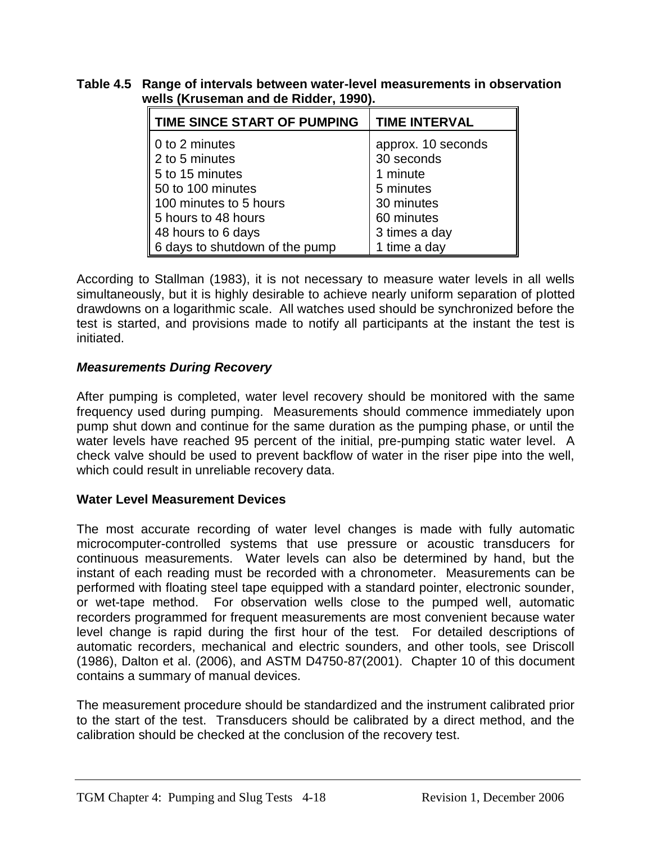#### **Table 4.5 Range of intervals between water-level measurements in observation wells (Kruseman and de Ridder, 1990).**

| TIME SINCE START OF PUMPING                                                                                                                                                                                     | <b>TIME INTERVAL</b> |
|-----------------------------------------------------------------------------------------------------------------------------------------------------------------------------------------------------------------|----------------------|
| 0 to 2 minutes                                                                                                                                                                                                  | approx. 10 seconds   |
| $\parallel$ 2 to 5 minutes                                                                                                                                                                                      | 30 seconds           |
|                                                                                                                                                                                                                 | 1 minute             |
|                                                                                                                                                                                                                 | 5 minutes            |
|                                                                                                                                                                                                                 | 30 minutes           |
|                                                                                                                                                                                                                 | 60 minutes           |
|                                                                                                                                                                                                                 | 3 times a day        |
| $\begin{array}{r} 2$ to 3 minutes<br>5 to 15 minutes<br>50 to 100 minutes<br>100 minutes to 5 hours<br>5 hours to 48 hours<br>48 hours to 6 days<br>6 days to shutdown of the<br>6 days to shutdown of the pump | 1 time a day         |

According to Stallman (1983), it is not necessary to measure water levels in all wells simultaneously, but it is highly desirable to achieve nearly uniform separation of plotted drawdowns on a logarithmic scale. All watches used should be synchronized before the test is started, and provisions made to notify all participants at the instant the test is initiated.

# *Measurements During Recovery*

After pumping is completed, water level recovery should be monitored with the same frequency used during pumping. Measurements should commence immediately upon pump shut down and continue for the same duration as the pumping phase, or until the water levels have reached 95 percent of the initial, pre-pumping static water level. A check valve should be used to prevent backflow of water in the riser pipe into the well, which could result in unreliable recovery data.

### **Water Level Measurement Devices**

The most accurate recording of water level changes is made with fully automatic microcomputer-controlled systems that use pressure or acoustic transducers for continuous measurements. Water levels can also be determined by hand, but the instant of each reading must be recorded with a chronometer. Measurements can be performed with floating steel tape equipped with a standard pointer, electronic sounder, or wet-tape method. For observation wells close to the pumped well, automatic recorders programmed for frequent measurements are most convenient because water level change is rapid during the first hour of the test. For detailed descriptions of automatic recorders, mechanical and electric sounders, and other tools, see Driscoll (1986), Dalton et al. (2006), and ASTM D4750-87(2001). Chapter 10 of this document contains a summary of manual devices.

The measurement procedure should be standardized and the instrument calibrated prior to the start of the test. Transducers should be calibrated by a direct method, and the calibration should be checked at the conclusion of the recovery test.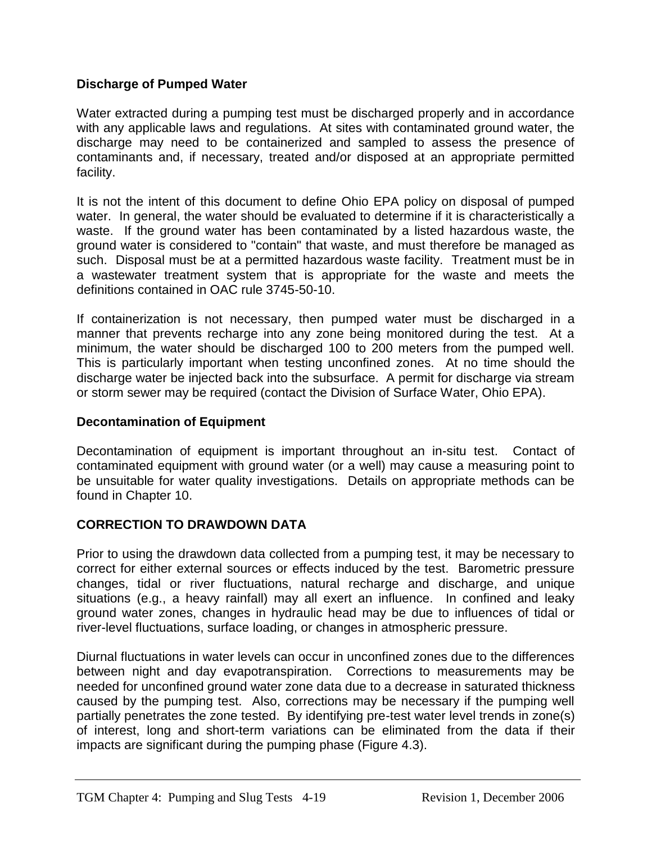#### **Discharge of Pumped Water**

Water extracted during a pumping test must be discharged properly and in accordance with any applicable laws and regulations. At sites with contaminated ground water, the discharge may need to be containerized and sampled to assess the presence of contaminants and, if necessary, treated and/or disposed at an appropriate permitted facility.

It is not the intent of this document to define Ohio EPA policy on disposal of pumped water. In general, the water should be evaluated to determine if it is characteristically a waste. If the ground water has been contaminated by a listed hazardous waste, the ground water is considered to "contain" that waste, and must therefore be managed as such. Disposal must be at a permitted hazardous waste facility. Treatment must be in a wastewater treatment system that is appropriate for the waste and meets the definitions contained in OAC rule 3745-50-10.

If containerization is not necessary, then pumped water must be discharged in a manner that prevents recharge into any zone being monitored during the test. At a minimum, the water should be discharged 100 to 200 meters from the pumped well. This is particularly important when testing unconfined zones. At no time should the discharge water be injected back into the subsurface. A permit for discharge via stream or storm sewer may be required (contact the Division of Surface Water, Ohio EPA).

#### **Decontamination of Equipment**

Decontamination of equipment is important throughout an in-situ test. Contact of contaminated equipment with ground water (or a well) may cause a measuring point to be unsuitable for water quality investigations. Details on appropriate methods can be found in Chapter 10.

### **CORRECTION TO DRAWDOWN DATA**

Prior to using the drawdown data collected from a pumping test, it may be necessary to correct for either external sources or effects induced by the test. Barometric pressure changes, tidal or river fluctuations, natural recharge and discharge, and unique situations (e.g., a heavy rainfall) may all exert an influence. In confined and leaky ground water zones, changes in hydraulic head may be due to influences of tidal or river-level fluctuations, surface loading, or changes in atmospheric pressure.

Diurnal fluctuations in water levels can occur in unconfined zones due to the differences between night and day evapotranspiration. Corrections to measurements may be needed for unconfined ground water zone data due to a decrease in saturated thickness caused by the pumping test. Also, corrections may be necessary if the pumping well partially penetrates the zone tested. By identifying pre-test water level trends in zone(s) of interest, long and short-term variations can be eliminated from the data if their impacts are significant during the pumping phase (Figure 4.3).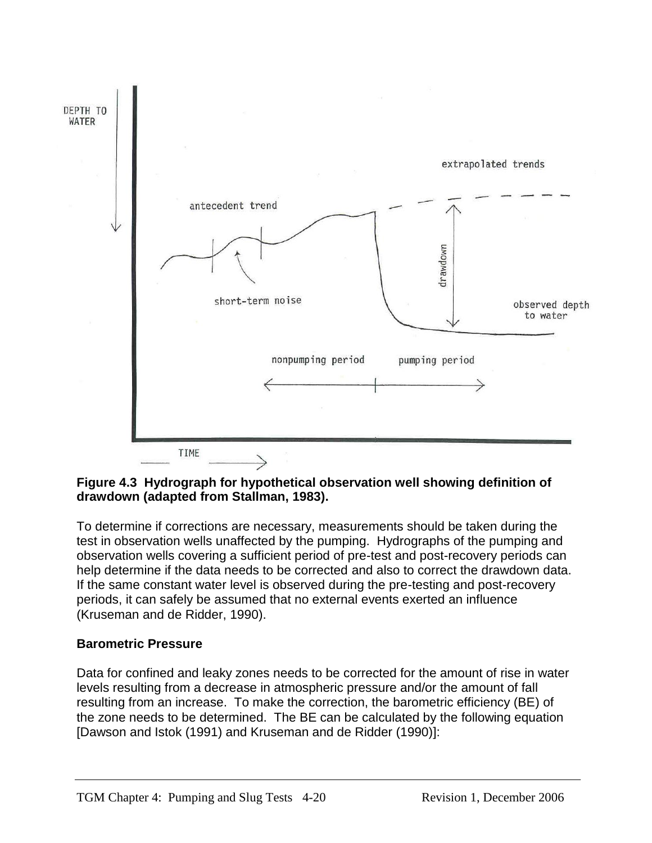

#### **Figure 4.3 Hydrograph for hypothetical observation well showing definition of drawdown (adapted from Stallman, 1983).**

To determine if corrections are necessary, measurements should be taken during the test in observation wells unaffected by the pumping. Hydrographs of the pumping and observation wells covering a sufficient period of pre-test and post-recovery periods can help determine if the data needs to be corrected and also to correct the drawdown data. If the same constant water level is observed during the pre-testing and post-recovery periods, it can safely be assumed that no external events exerted an influence (Kruseman and de Ridder, 1990).

### **Barometric Pressure**

Data for confined and leaky zones needs to be corrected for the amount of rise in water levels resulting from a decrease in atmospheric pressure and/or the amount of fall resulting from an increase. To make the correction, the barometric efficiency (BE) of the zone needs to be determined. The BE can be calculated by the following equation [Dawson and Istok (1991) and Kruseman and de Ridder (1990)]: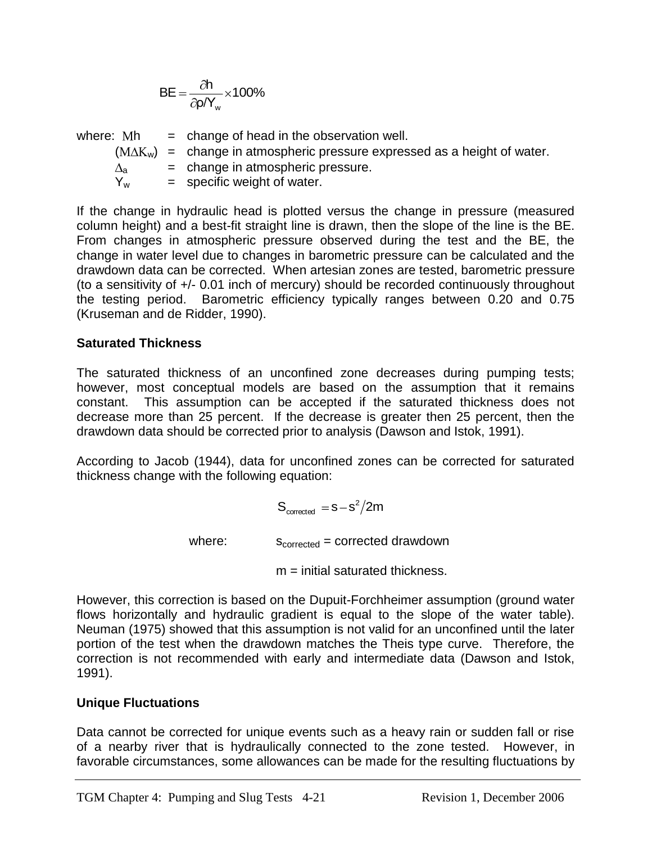$$
BE = \frac{\partial h}{\partial \rho / Y_w} \times 100\%
$$

| where: Mh             | $=$ change of head in the observation well.                                      |
|-----------------------|----------------------------------------------------------------------------------|
|                       | $(M\Delta K_w)$ = change in atmospheric pressure expressed as a height of water. |
| $\Delta_{\mathbf{a}}$ | $=$ change in atmospheric pressure.                                              |
| $Y_{w}$               | $=$ specific weight of water.                                                    |

BE  $= \frac{1}{2NV_a} \times 100\%$ <br>
Where: Mh = change of head in the observation well.<br>
(MAG<sub>a</sub>) = change in atmospheric pressure.<br>  $\frac{\Delta_k}{\Delta_k}$  = change in atmospheric pressure.<br>
The change in atmospheric pressure.<br>
The change in If the change in hydraulic head is plotted versus the change in pressure (measured column height) and a best-fit straight line is drawn, then the slope of the line is the BE. From changes in atmospheric pressure observed during the test and the BE, the change in water level due to changes in barometric pressure can be calculated and the drawdown data can be corrected. When artesian zones are tested, barometric pressure (to a sensitivity of +/- 0.01 inch of mercury) should be recorded continuously throughout the testing period. Barometric efficiency typically ranges between 0.20 and 0.75 (Kruseman and de Ridder, 1990).

#### **Saturated Thickness**

The saturated thickness of an unconfined zone decreases during pumping tests; however, most conceptual models are based on the assumption that it remains constant. This assumption can be accepted if the saturated thickness does not decrease more than 25 percent. If the decrease is greater then 25 percent, then the drawdown data should be corrected prior to analysis (Dawson and Istok, 1991).

According to Jacob (1944), data for unconfined zones can be corrected for saturated thickness change with the following equation:

$$
S_{\text{corrected}} = s - s^2 / 2m
$$

where:  $S_{\text{corrected}} = \text{corrected} \cdot \text{drawdown}$ 

 $m =$  initial saturated thickness.

However, this correction is based on the Dupuit-Forchheimer assumption (ground water flows horizontally and hydraulic gradient is equal to the slope of the water table). Neuman (1975) showed that this assumption is not valid for an unconfined until the later portion of the test when the drawdown matches the Theis type curve. Therefore, the correction is not recommended with early and intermediate data (Dawson and Istok, 1991).

#### **Unique Fluctuations**

Data cannot be corrected for unique events such as a heavy rain or sudden fall or rise of a nearby river that is hydraulically connected to the zone tested. However, in favorable circumstances, some allowances can be made for the resulting fluctuations by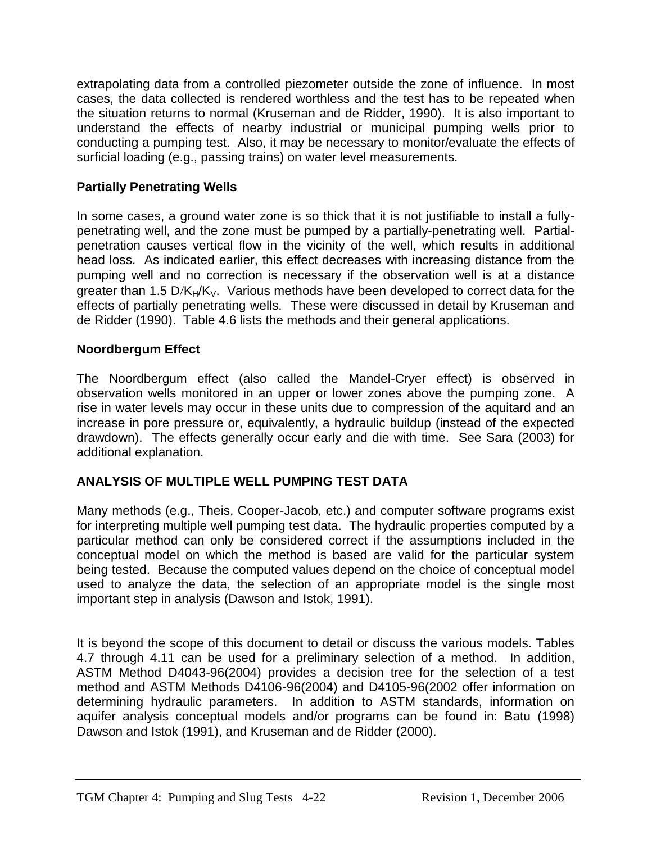extrapolating data from a controlled piezometer outside the zone of influence. In most cases, the data collected is rendered worthless and the test has to be repeated when the situation returns to normal (Kruseman and de Ridder, 1990). It is also important to understand the effects of nearby industrial or municipal pumping wells prior to conducting a pumping test. Also, it may be necessary to monitor/evaluate the effects of surficial loading (e.g., passing trains) on water level measurements.

# **Partially Penetrating Wells**

In some cases, a ground water zone is so thick that it is not justifiable to install a fullypenetrating well, and the zone must be pumped by a partially-penetrating well. Partialpenetration causes vertical flow in the vicinity of the well, which results in additional head loss. As indicated earlier, this effect decreases with increasing distance from the pumping well and no correction is necessary if the observation well is at a distance greater than 1.5 D/K $H/K_V$ . Various methods have been developed to correct data for the effects of partially penetrating wells. These were discussed in detail by Kruseman and de Ridder (1990). Table 4.6 lists the methods and their general applications.

#### **Noordbergum Effect**

The Noordbergum effect (also called the Mandel-Cryer effect) is observed in observation wells monitored in an upper or lower zones above the pumping zone. A rise in water levels may occur in these units due to compression of the aquitard and an increase in pore pressure or, equivalently, a hydraulic buildup (instead of the expected drawdown). The effects generally occur early and die with time. See Sara (2003) for additional explanation.

### **ANALYSIS OF MULTIPLE WELL PUMPING TEST DATA**

Many methods (e.g., Theis, Cooper-Jacob, etc.) and computer software programs exist for interpreting multiple well pumping test data. The hydraulic properties computed by a particular method can only be considered correct if the assumptions included in the conceptual model on which the method is based are valid for the particular system being tested. Because the computed values depend on the choice of conceptual model used to analyze the data, the selection of an appropriate model is the single most important step in analysis (Dawson and Istok, 1991).

It is beyond the scope of this document to detail or discuss the various models. Tables 4.7 through 4.11 can be used for a preliminary selection of a method. In addition, ASTM Method D4043-96(2004) provides a decision tree for the selection of a test method and ASTM Methods D4106-96(2004) and D4105-96(2002 offer information on determining hydraulic parameters. In addition to ASTM standards, information on aquifer analysis conceptual models and/or programs can be found in: Batu (1998) Dawson and Istok (1991), and Kruseman and de Ridder (2000).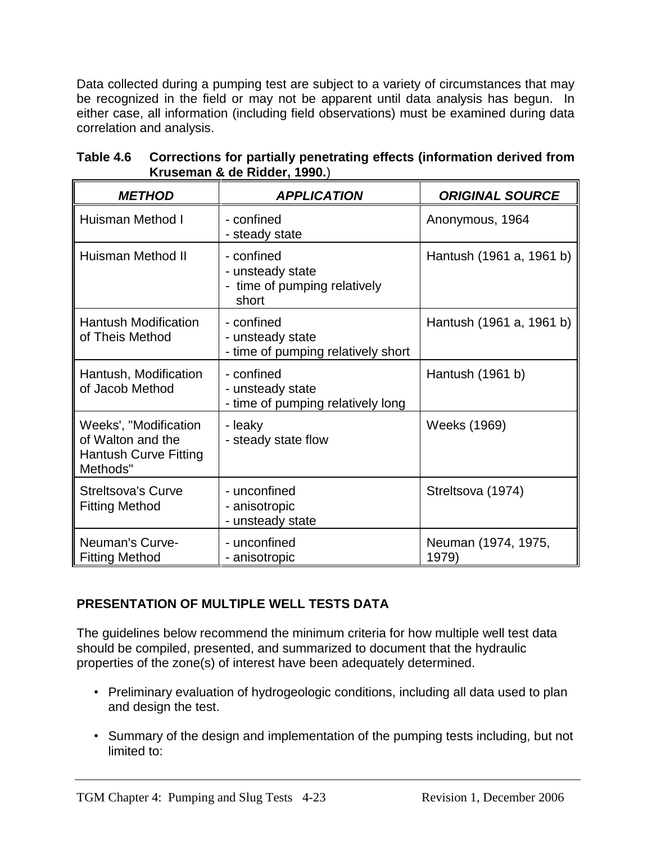Data collected during a pumping test are subject to a variety of circumstances that may be recognized in the field or may not be apparent until data analysis has begun. In either case, all information (including field observations) must be examined during data correlation and analysis.

| <b>METHOD</b>                                                                          | <b>APPLICATION</b>                                                      | <b>ORIGINAL SOURCE</b>       |
|----------------------------------------------------------------------------------------|-------------------------------------------------------------------------|------------------------------|
| Huisman Method I                                                                       | - confined<br>- steady state                                            | Anonymous, 1964              |
| Huisman Method II                                                                      | - confined<br>- unsteady state<br>- time of pumping relatively<br>short | Hantush (1961 a, 1961 b)     |
| <b>Hantush Modification</b><br>of Theis Method                                         | - confined<br>- unsteady state<br>- time of pumping relatively short    | Hantush (1961 a, 1961 b)     |
| Hantush, Modification<br>of Jacob Method                                               | - confined<br>- unsteady state<br>- time of pumping relatively long     | Hantush (1961 b)             |
| Weeks', "Modification<br>of Walton and the<br><b>Hantush Curve Fitting</b><br>Methods" | - leaky<br>- steady state flow                                          | Weeks (1969)                 |
| <b>Streltsova's Curve</b><br><b>Fitting Method</b>                                     | - unconfined<br>- anisotropic<br>- unsteady state                       | Streltsova (1974)            |
| Neuman's Curve-<br><b>Fitting Method</b>                                               | - unconfined<br>- anisotropic                                           | Neuman (1974, 1975,<br>1979) |

**Table 4.6 Corrections for partially penetrating effects (information derived from Kruseman & de Ridder, 1990.**)

# **PRESENTATION OF MULTIPLE WELL TESTS DATA**

The guidelines below recommend the minimum criteria for how multiple well test data should be compiled, presented, and summarized to document that the hydraulic properties of the zone(s) of interest have been adequately determined.

- Preliminary evaluation of hydrogeologic conditions, including all data used to plan and design the test.
- Summary of the design and implementation of the pumping tests including, but not limited to: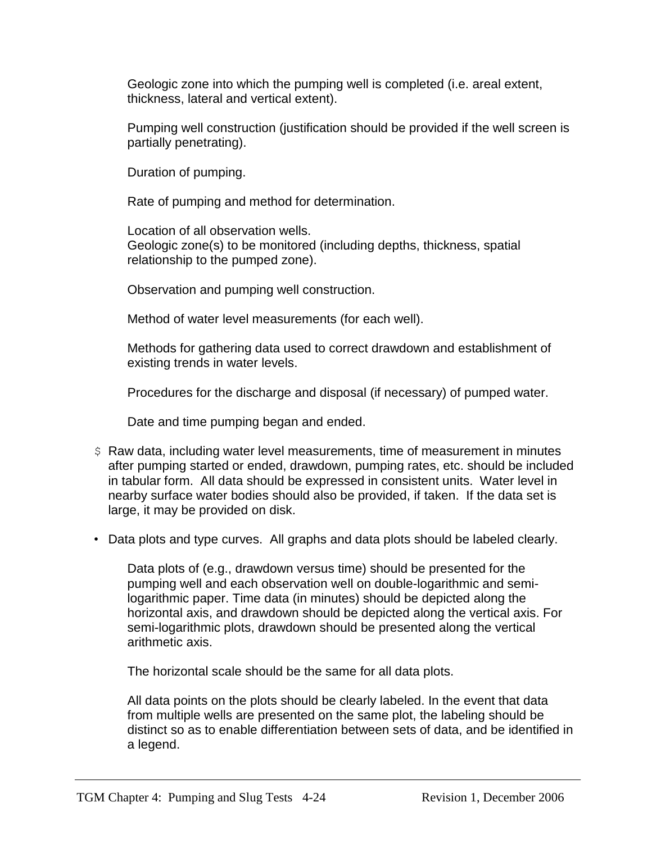Geologic zone into which the pumping well is completed (i.e. areal extent, thickness, lateral and vertical extent).

Pumping well construction (justification should be provided if the well screen is partially penetrating).

Duration of pumping.

Rate of pumping and method for determination.

Location of all observation wells. Geologic zone(s) to be monitored (including depths, thickness, spatial relationship to the pumped zone).

Observation and pumping well construction.

Method of water level measurements (for each well).

Methods for gathering data used to correct drawdown and establishment of existing trends in water levels.

Procedures for the discharge and disposal (if necessary) of pumped water.

Date and time pumping began and ended.

- \$ Raw data, including water level measurements, time of measurement in minutes after pumping started or ended, drawdown, pumping rates, etc. should be included in tabular form. All data should be expressed in consistent units. Water level in nearby surface water bodies should also be provided, if taken. If the data set is large, it may be provided on disk.
- Data plots and type curves. All graphs and data plots should be labeled clearly.

Data plots of (e.g., drawdown versus time) should be presented for the pumping well and each observation well on double-logarithmic and semilogarithmic paper. Time data (in minutes) should be depicted along the horizontal axis, and drawdown should be depicted along the vertical axis. For semi-logarithmic plots, drawdown should be presented along the vertical arithmetic axis.

The horizontal scale should be the same for all data plots.

All data points on the plots should be clearly labeled. In the event that data from multiple wells are presented on the same plot, the labeling should be distinct so as to enable differentiation between sets of data, and be identified in a legend.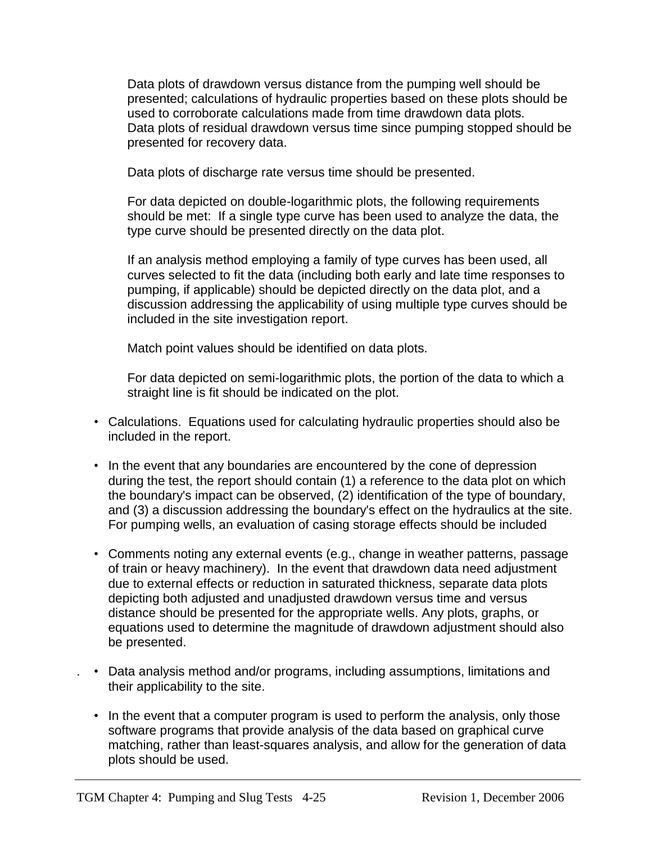Data plots of drawdown versus distance from the pumping well should be presented; calculations of hydraulic properties based on these plots should be used to corroborate calculations made from time drawdown data plots. Data plots of residual drawdown versus time since pumping stopped should be presented for recovery data.

Data plots of discharge rate versus time should be presented.

For data depicted on double-logarithmic plots, the following requirements should be met: If a single type curve has been used to analyze the data, the type curve should be presented directly on the data plot.

If an analysis method employing a family of type curves has been used, all curves selected to fit the data (including both early and late time responses to pumping, if applicable) should be depicted directly on the data plot, and a discussion addressing the applicability of using multiple type curves should be included in the site investigation report.

Match point values should be identified on data plots.

For data depicted on semi-logarithmic plots, the portion of the data to which a straight line is fit should be indicated on the plot.

- Calculations. Equations used for calculating hydraulic properties should also be included in the report.
- In the event that any boundaries are encountered by the cone of depression during the test, the report should contain (1) a reference to the data plot on which the boundary's impact can be observed, (2) identification of the type of boundary, and (3) a discussion addressing the boundary's effect on the hydraulics at the site. For pumping wells, an evaluation of casing storage effects should be included
- Comments noting any external events (e.g., change in weather patterns, passage of train or heavy machinery). In the event that drawdown data need adjustment due to external effects or reduction in saturated thickness, separate data plots depicting both adjusted and unadjusted drawdown versus time and versus distance should be presented for the appropriate wells. Any plots, graphs, or equations used to determine the magnitude of drawdown adjustment should also be presented.
- . Data analysis method and/or programs, including assumptions, limitations and their applicability to the site.
	- In the event that a computer program is used to perform the analysis, only those software programs that provide analysis of the data based on graphical curve matching, rather than least-squares analysis, and allow for the generation of data plots should be used.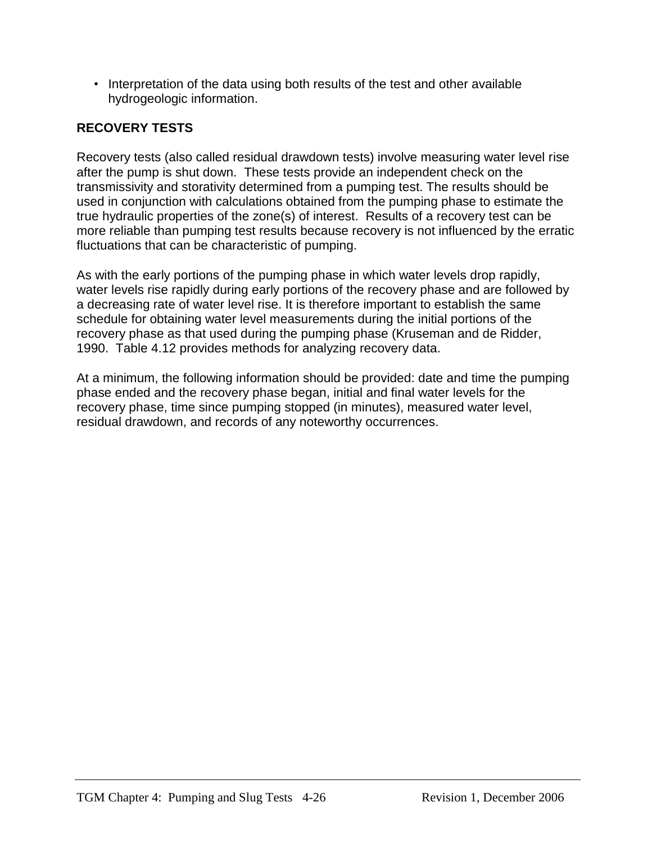• Interpretation of the data using both results of the test and other available hydrogeologic information.

# **RECOVERY TESTS**

Recovery tests (also called residual drawdown tests) involve measuring water level rise after the pump is shut down. These tests provide an independent check on the transmissivity and storativity determined from a pumping test. The results should be used in conjunction with calculations obtained from the pumping phase to estimate the true hydraulic properties of the zone(s) of interest. Results of a recovery test can be more reliable than pumping test results because recovery is not influenced by the erratic fluctuations that can be characteristic of pumping.

As with the early portions of the pumping phase in which water levels drop rapidly, water levels rise rapidly during early portions of the recovery phase and are followed by a decreasing rate of water level rise. It is therefore important to establish the same schedule for obtaining water level measurements during the initial portions of the recovery phase as that used during the pumping phase (Kruseman and de Ridder, 1990. Table 4.12 provides methods for analyzing recovery data.

At a minimum, the following information should be provided: date and time the pumping phase ended and the recovery phase began, initial and final water levels for the recovery phase, time since pumping stopped (in minutes), measured water level, residual drawdown, and records of any noteworthy occurrences.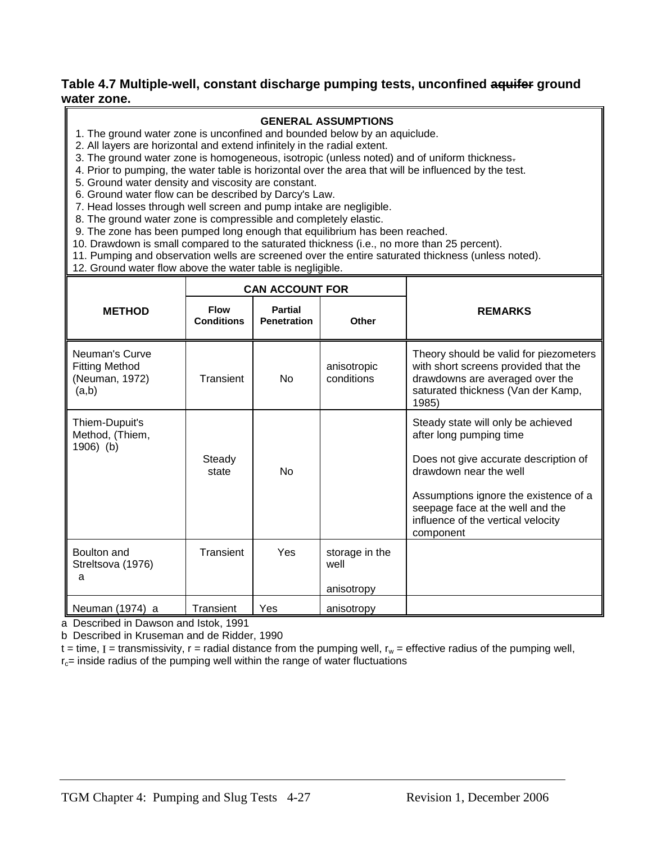#### **Table 4.7 Multiple-well, constant discharge pumping tests, unconfined aquifer ground water zone.**

#### **GENERAL ASSUMPTIONS**

- 1. The ground water zone is unconfined and bounded below by an aquiclude.
- 2. All layers are horizontal and extend infinitely in the radial extent.
- 3. The ground water zone is homogeneous, isotropic (unless noted) and of uniform thickness.
- 4. Prior to pumping, the water table is horizontal over the area that will be influenced by the test.
- 5. Ground water density and viscosity are constant.
- 6. Ground water flow can be described by Darcy's Law.
- 7. Head losses through well screen and pump intake are negligible.
- 8. The ground water zone is compressible and completely elastic.
- 9. The zone has been pumped long enough that equilibrium has been reached.
- 10. Drawdown is small compared to the saturated thickness (i.e., no more than 25 percent).
- 11. Pumping and observation wells are screened over the entire saturated thickness (unless noted).
- 12. Ground water flow above the water table is negligible.

|                                                                    | <b>CAN ACCOUNT FOR</b>           |                                      |                                      |                                                                                                                                                                                                                                                                  |
|--------------------------------------------------------------------|----------------------------------|--------------------------------------|--------------------------------------|------------------------------------------------------------------------------------------------------------------------------------------------------------------------------------------------------------------------------------------------------------------|
| <b>METHOD</b>                                                      | <b>Flow</b><br><b>Conditions</b> | <b>Partial</b><br><b>Penetration</b> | Other                                | <b>REMARKS</b>                                                                                                                                                                                                                                                   |
| Neuman's Curve<br><b>Fitting Method</b><br>(Neuman, 1972)<br>(a,b) | Transient                        | N <sub>0</sub>                       | anisotropic<br>conditions            | Theory should be valid for piezometers<br>with short screens provided that the<br>drawdowns are averaged over the<br>saturated thickness (Van der Kamp,<br>1985)                                                                                                 |
| Thiem-Dupuit's<br>Method, (Thiem,<br>1906) (b)                     | Steady<br>state                  | <b>No</b>                            |                                      | Steady state will only be achieved<br>after long pumping time<br>Does not give accurate description of<br>drawdown near the well<br>Assumptions ignore the existence of a<br>seepage face at the well and the<br>influence of the vertical velocity<br>component |
| Boulton and<br>Streltsova (1976)<br>a                              | Transient                        | Yes                                  | storage in the<br>well<br>anisotropy |                                                                                                                                                                                                                                                                  |
| Neuman (1974) a                                                    | Transient                        | Yes                                  | anisotropy                           |                                                                                                                                                                                                                                                                  |

a Described in Dawson and Istok, 1991

b Described in Kruseman and de Ridder, 1990

 $t =$  time, I = transmissivity,  $r =$  radial distance from the pumping well,  $r_w =$  effective radius of the pumping well,  $r_c$ = inside radius of the pumping well within the range of water fluctuations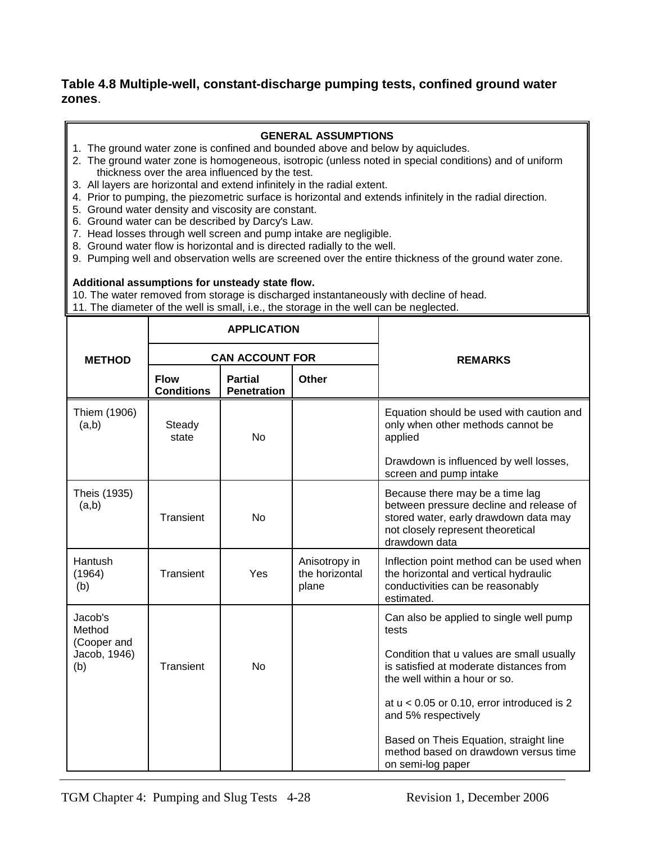#### **Table 4.8 Multiple-well, constant-discharge pumping tests, confined ground water zones**.

#### **GENERAL ASSUMPTIONS**

- 1. The ground water zone is confined and bounded above and below by aquicludes.
- 2. The ground water zone is homogeneous, isotropic (unless noted in special conditions) and of uniform thickness over the area influenced by the test.
- 3. All layers are horizontal and extend infinitely in the radial extent.
- 4. Prior to pumping, the piezometric surface is horizontal and extends infinitely in the radial direction.
- 5. Ground water density and viscosity are constant.
- 6. Ground water can be described by Darcy's Law.
- 7. Head losses through well screen and pump intake are negligible.
- 8. Ground water flow is horizontal and is directed radially to the well.
- 9. Pumping well and observation wells are screened over the entire thickness of the ground water zone.

#### **Additional assumptions for unsteady state flow.**

10. The water removed from storage is discharged instantaneously with decline of head.

11. The diameter of the well is small, i.e., the storage in the well can be neglected.

|                                                         | <b>APPLICATION</b>               |                                      |                                          |                                                                                                                                                                                                                                                                                                                                                         |
|---------------------------------------------------------|----------------------------------|--------------------------------------|------------------------------------------|---------------------------------------------------------------------------------------------------------------------------------------------------------------------------------------------------------------------------------------------------------------------------------------------------------------------------------------------------------|
| <b>METHOD</b>                                           | <b>CAN ACCOUNT FOR</b>           |                                      |                                          | <b>REMARKS</b>                                                                                                                                                                                                                                                                                                                                          |
|                                                         | <b>Flow</b><br><b>Conditions</b> | <b>Partial</b><br><b>Penetration</b> | <b>Other</b>                             |                                                                                                                                                                                                                                                                                                                                                         |
| Thiem (1906)<br>(a,b)                                   | Steady<br>state                  | <b>No</b>                            |                                          | Equation should be used with caution and<br>only when other methods cannot be<br>applied                                                                                                                                                                                                                                                                |
|                                                         |                                  |                                      |                                          | Drawdown is influenced by well losses,<br>screen and pump intake                                                                                                                                                                                                                                                                                        |
| Theis (1935)<br>(a,b)                                   | <b>Transient</b>                 | No                                   |                                          | Because there may be a time lag<br>between pressure decline and release of<br>stored water, early drawdown data may<br>not closely represent theoretical<br>drawdown data                                                                                                                                                                               |
| Hantush<br>(1964)<br>(b)                                | <b>Transient</b>                 | Yes                                  | Anisotropy in<br>the horizontal<br>plane | Inflection point method can be used when<br>the horizontal and vertical hydraulic<br>conductivities can be reasonably<br>estimated.                                                                                                                                                                                                                     |
| Jacob's<br>Method<br>(Cooper and<br>Jacob, 1946)<br>(b) | Transient                        | <b>No</b>                            |                                          | Can also be applied to single well pump<br>tests<br>Condition that u values are small usually<br>is satisfied at moderate distances from<br>the well within a hour or so.<br>at $u < 0.05$ or 0.10, error introduced is 2<br>and 5% respectively<br>Based on Theis Equation, straight line<br>method based on drawdown versus time<br>on semi-log paper |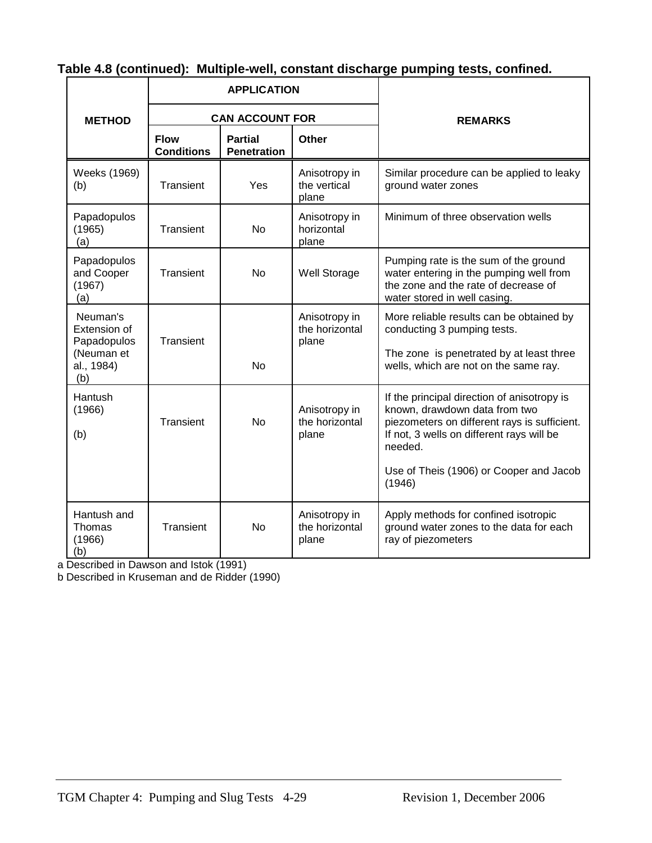|                                                                            |                                  | <b>APPLICATION</b>                   |                                          |                                                                                                                                                                                                                                           |
|----------------------------------------------------------------------------|----------------------------------|--------------------------------------|------------------------------------------|-------------------------------------------------------------------------------------------------------------------------------------------------------------------------------------------------------------------------------------------|
| <b>METHOD</b>                                                              | <b>CAN ACCOUNT FOR</b>           |                                      |                                          | <b>REMARKS</b>                                                                                                                                                                                                                            |
|                                                                            | <b>Flow</b><br><b>Conditions</b> | <b>Partial</b><br><b>Penetration</b> | <b>Other</b>                             |                                                                                                                                                                                                                                           |
| Weeks (1969)<br>(b)                                                        | Transient                        | Yes                                  | Anisotropy in<br>the vertical<br>plane   | Similar procedure can be applied to leaky<br>ground water zones                                                                                                                                                                           |
| Papadopulos<br>(1965)<br>(a)                                               | Transient                        | <b>No</b>                            | Anisotropy in<br>horizontal<br>plane     | Minimum of three observation wells                                                                                                                                                                                                        |
| Papadopulos<br>and Cooper<br>(1967)<br>(a)                                 | Transient                        | No                                   | <b>Well Storage</b>                      | Pumping rate is the sum of the ground<br>water entering in the pumping well from<br>the zone and the rate of decrease of<br>water stored in well casing.                                                                                  |
| Neuman's<br>Extension of<br>Papadopulos<br>(Neuman et<br>al., 1984)<br>(b) | Transient                        | <b>No</b>                            | Anisotropy in<br>the horizontal<br>plane | More reliable results can be obtained by<br>conducting 3 pumping tests.<br>The zone is penetrated by at least three<br>wells, which are not on the same ray.                                                                              |
| Hantush<br>(1966)<br>(b)                                                   | Transient                        | <b>No</b>                            | Anisotropy in<br>the horizontal<br>plane | If the principal direction of anisotropy is<br>known, drawdown data from two<br>piezometers on different rays is sufficient.<br>If not, 3 wells on different rays will be<br>needed.<br>Use of Theis (1906) or Cooper and Jacob<br>(1946) |
| Hantush and<br>Thomas<br>(1966)<br>(b)                                     | Transient                        | <b>No</b>                            | Anisotropy in<br>the horizontal<br>plane | Apply methods for confined isotropic<br>ground water zones to the data for each<br>ray of piezometers                                                                                                                                     |

# **Table 4.8 (continued): Multiple-well, constant discharge pumping tests, confined.**

a Described in Dawson and Istok (1991)

b Described in Kruseman and de Ridder (1990)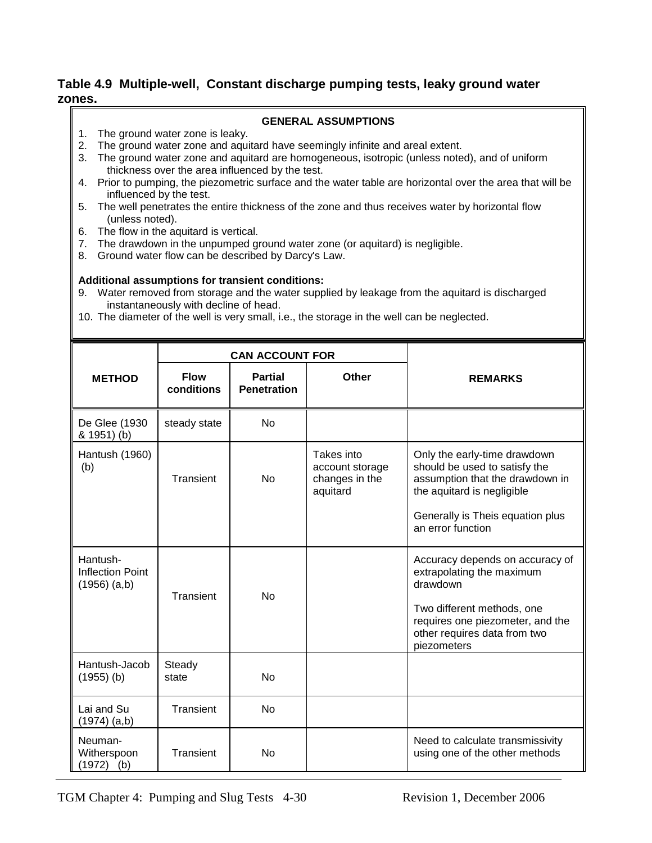#### **Table 4.9 Multiple-well, Constant discharge pumping tests, leaky ground water zones.**

#### **GENERAL ASSUMPTIONS**

- 1. The ground water zone is leaky.
- 2. The ground water zone and aquitard have seemingly infinite and areal extent.
- 3. The ground water zone and aquitard are homogeneous, isotropic (unless noted), and of uniform thickness over the area influenced by the test.
- 4. Prior to pumping, the piezometric surface and the water table are horizontal over the area that will be influenced by the test.
- 5. The well penetrates the entire thickness of the zone and thus receives water by horizontal flow (unless noted).
- 6. The flow in the aquitard is vertical.
- 7. The drawdown in the unpumped ground water zone (or aquitard) is negligible.
- 8. Ground water flow can be described by Darcy's Law.

#### **Additional assumptions for transient conditions:**

- 9. Water removed from storage and the water supplied by leakage from the aquitard is discharged instantaneously with decline of head.
- 10. The diameter of the well is very small, i.e., the storage in the well can be neglected.

|                                                         | <b>CAN ACCOUNT FOR</b>    |                                      |                                                             |                                                                                                                                                                                           |
|---------------------------------------------------------|---------------------------|--------------------------------------|-------------------------------------------------------------|-------------------------------------------------------------------------------------------------------------------------------------------------------------------------------------------|
| <b>METHOD</b>                                           | <b>Flow</b><br>conditions | <b>Partial</b><br><b>Penetration</b> | Other                                                       | <b>REMARKS</b>                                                                                                                                                                            |
| De Glee (1930<br>& 1951) (b)                            | steady state              | No                                   |                                                             |                                                                                                                                                                                           |
| Hantush (1960)<br>(b)                                   | Transient                 | No                                   | Takes into<br>account storage<br>changes in the<br>aquitard | Only the early-time drawdown<br>should be used to satisfy the<br>assumption that the drawdown in<br>the aquitard is negligible<br>Generally is Theis equation plus<br>an error function   |
| Hantush-<br><b>Inflection Point</b><br>$(1956)$ $(a,b)$ | Transient                 | <b>No</b>                            |                                                             | Accuracy depends on accuracy of<br>extrapolating the maximum<br>drawdown<br>Two different methods, one<br>requires one piezometer, and the<br>other requires data from two<br>piezometers |
| Hantush-Jacob<br>$(1955)$ (b)                           | Steady<br>state           | No                                   |                                                             |                                                                                                                                                                                           |
| Lai and Su<br>$(1974)$ $(a,b)$                          | Transient                 | <b>No</b>                            |                                                             |                                                                                                                                                                                           |
| Neuman-<br>Witherspoon<br>$(1972)$ (b)                  | Transient                 | <b>No</b>                            |                                                             | Need to calculate transmissivity<br>using one of the other methods                                                                                                                        |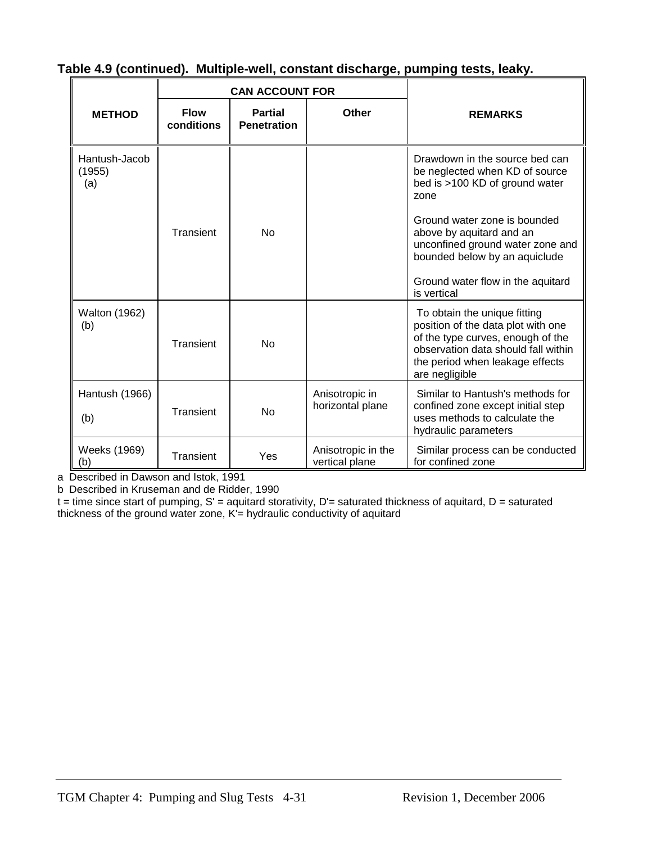|                                | <b>CAN ACCOUNT FOR</b>    |                                      |                                      |                                                                                                                                                                                                     |
|--------------------------------|---------------------------|--------------------------------------|--------------------------------------|-----------------------------------------------------------------------------------------------------------------------------------------------------------------------------------------------------|
| <b>METHOD</b>                  | <b>Flow</b><br>conditions | <b>Partial</b><br><b>Penetration</b> | <b>Other</b>                         | <b>REMARKS</b>                                                                                                                                                                                      |
| Hantush-Jacob<br>(1955)<br>(a) |                           |                                      |                                      | Drawdown in the source bed can<br>be neglected when KD of source<br>bed is >100 KD of ground water<br>zone                                                                                          |
|                                | Transient                 | <b>No</b>                            |                                      | Ground water zone is bounded<br>above by aquitard and an<br>unconfined ground water zone and<br>bounded below by an aquiclude                                                                       |
|                                |                           |                                      |                                      | Ground water flow in the aquitard<br>is vertical                                                                                                                                                    |
| <b>Walton (1962)</b><br>(b)    | Transient                 | No                                   |                                      | To obtain the unique fitting<br>position of the data plot with one<br>of the type curves, enough of the<br>observation data should fall within<br>the period when leakage effects<br>are negligible |
| Hantush (1966)<br>(b)          | Transient                 | No                                   | Anisotropic in<br>horizontal plane   | Similar to Hantush's methods for<br>confined zone except initial step<br>uses methods to calculate the<br>hydraulic parameters                                                                      |
| Weeks (1969)<br>(b)            | Transient                 | Yes                                  | Anisotropic in the<br>vertical plane | Similar process can be conducted<br>for confined zone                                                                                                                                               |

#### **Table 4.9 (continued). Multiple-well, constant discharge, pumping tests, leaky.**

a Described in Dawson and Istok, 1991

b Described in Kruseman and de Ridder, 1990

 $t =$  time since start of pumping,  $S' =$  aquitard storativity,  $D' =$  saturated thickness of aquitard,  $D =$  saturated thickness of the ground water zone, K'= hydraulic conductivity of aquitard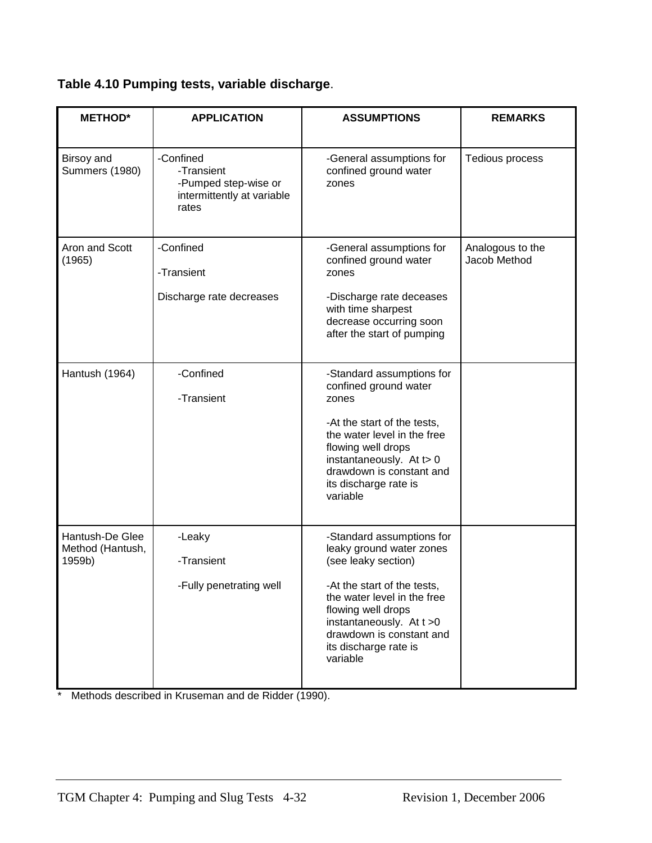| Table 4.10 Pumping tests, variable discharge. |  |
|-----------------------------------------------|--|
|-----------------------------------------------|--|

| <b>METHOD*</b>                                                                                   | <b>APPLICATION</b>                                                                     | <b>ASSUMPTIONS</b>                                                                                                                                                                                                                                               | <b>REMARKS</b>                   |
|--------------------------------------------------------------------------------------------------|----------------------------------------------------------------------------------------|------------------------------------------------------------------------------------------------------------------------------------------------------------------------------------------------------------------------------------------------------------------|----------------------------------|
| Birsoy and<br><b>Summers (1980)</b>                                                              | -Confined<br>-Transient<br>-Pumped step-wise or<br>intermittently at variable<br>rates | -General assumptions for<br>confined ground water<br>zones                                                                                                                                                                                                       | Tedious process                  |
| Aron and Scott<br>(1965)                                                                         | -Confined<br>-Transient<br>Discharge rate decreases                                    | -General assumptions for<br>confined ground water<br>zones<br>-Discharge rate deceases<br>with time sharpest<br>decrease occurring soon<br>after the start of pumping                                                                                            | Analogous to the<br>Jacob Method |
| Hantush (1964)                                                                                   | -Confined<br>-Transient                                                                | -Standard assumptions for<br>confined ground water<br>zones<br>-At the start of the tests,<br>the water level in the free<br>flowing well drops<br>instantaneously. At t> 0<br>drawdown is constant and<br>its discharge rate is<br>variable                     |                                  |
| Hantush-De Glee<br>-Leaky<br>Method (Hantush,<br>-Transient<br>1959b)<br>-Fully penetrating well |                                                                                        | -Standard assumptions for<br>leaky ground water zones<br>(see leaky section)<br>-At the start of the tests,<br>the water level in the free<br>flowing well drops<br>instantaneously. At $t > 0$<br>drawdown is constant and<br>its discharge rate is<br>variable |                                  |

\* Methods described in Kruseman and de Ridder (1990).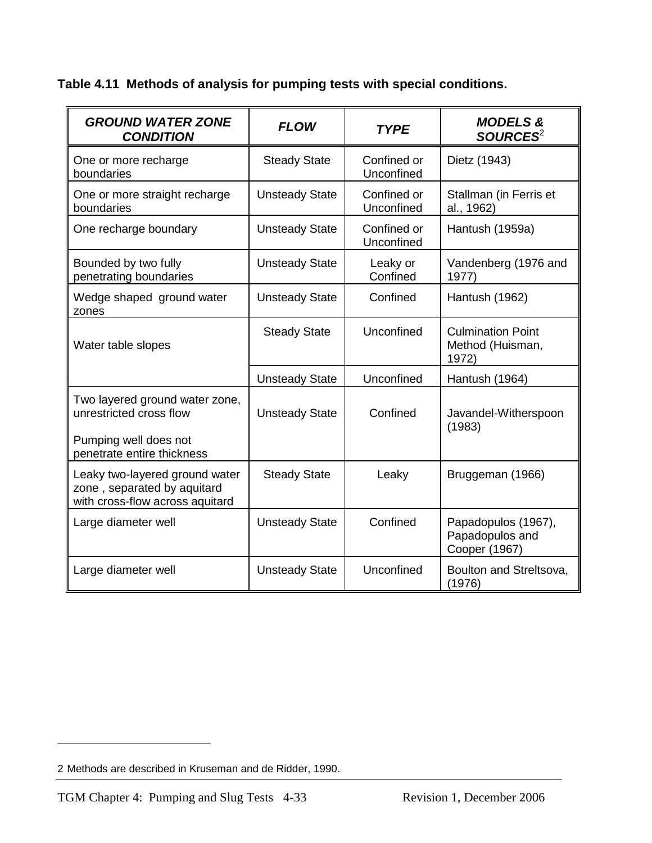**Table 4.11 Methods of analysis for pumping tests with special conditions.**

| <b>GROUND WATER ZONE</b><br><b>CONDITION</b>                                                                     | <b>FLOW</b>           | <b>TYPE</b>               | <b>MODELS &amp;</b><br>SOURCES <sup>2</sup>             |
|------------------------------------------------------------------------------------------------------------------|-----------------------|---------------------------|---------------------------------------------------------|
| One or more recharge<br>boundaries                                                                               | <b>Steady State</b>   | Confined or<br>Unconfined | Dietz (1943)                                            |
| One or more straight recharge<br>boundaries                                                                      | <b>Unsteady State</b> | Confined or<br>Unconfined | Stallman (in Ferris et<br>al., 1962)                    |
| One recharge boundary                                                                                            | <b>Unsteady State</b> | Confined or<br>Unconfined | Hantush (1959a)                                         |
| Bounded by two fully<br>penetrating boundaries                                                                   | <b>Unsteady State</b> | Leaky or<br>Confined      | Vandenberg (1976 and<br>1977)                           |
| Wedge shaped ground water<br>zones                                                                               | <b>Unsteady State</b> | Confined                  | Hantush (1962)                                          |
| Water table slopes                                                                                               | <b>Steady State</b>   | Unconfined                | <b>Culmination Point</b><br>Method (Huisman,<br>1972)   |
|                                                                                                                  | <b>Unsteady State</b> | Unconfined                | Hantush (1964)                                          |
| Two layered ground water zone,<br>unrestricted cross flow<br>Pumping well does not<br>penetrate entire thickness | <b>Unsteady State</b> | Confined                  | Javandel-Witherspoon<br>(1983)                          |
| Leaky two-layered ground water<br>zone, separated by aquitard<br>with cross-flow across aquitard                 | <b>Steady State</b>   | Leaky                     | Bruggeman (1966)                                        |
| Large diameter well                                                                                              | <b>Unsteady State</b> | Confined                  | Papadopulos (1967),<br>Papadopulos and<br>Cooper (1967) |
| Large diameter well                                                                                              | <b>Unsteady State</b> | Unconfined                | Boulton and Streltsova,<br>(1976)                       |

 $\overline{a}$ 

<sup>2</sup> Methods are described in Kruseman and de Ridder, 1990.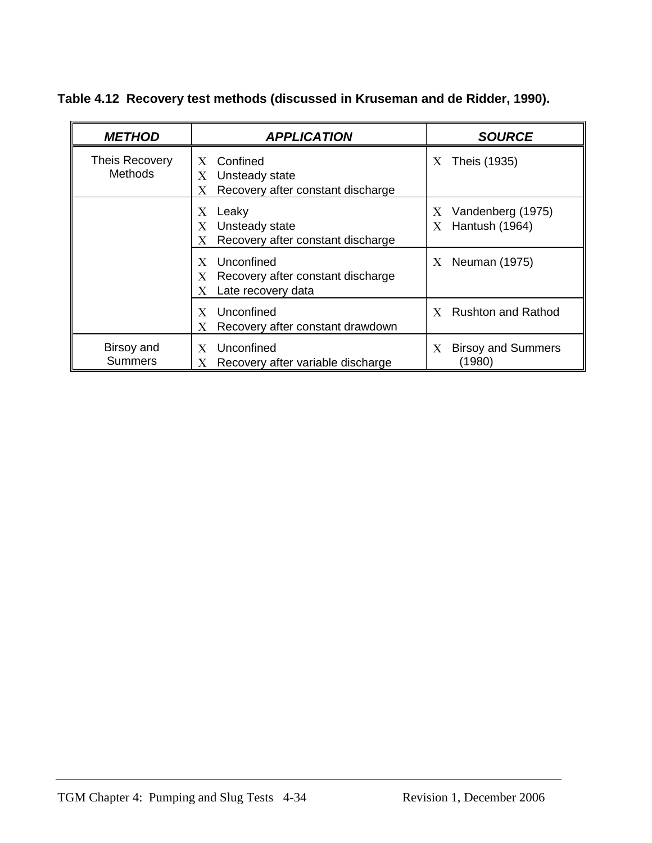**Table 4.12 Recovery test methods (discussed in Kruseman and de Ridder, 1990).**

| <b>METHOD</b>                           | <b>APPLICATION</b>                                                                                     | <b>SOURCE</b>                                            |
|-----------------------------------------|--------------------------------------------------------------------------------------------------------|----------------------------------------------------------|
| <b>Theis Recovery</b><br><b>Methods</b> | Confined<br>$X_{\mathcal{C}}$<br>Unsteady state<br>$\rm X^-$<br>Recovery after constant discharge<br>Х | Theis (1935)<br>X.                                       |
|                                         | Leaky<br>X<br>Unsteady state<br>X.<br>Recovery after constant discharge<br>X                           | Vandenberg (1975)<br>X.<br>Hantush (1964)<br>$X_{\cdot}$ |
|                                         | Unconfined<br>$\mathbf x$<br>Recovery after constant discharge<br>X.<br>Late recovery data             | Neuman (1975)<br>$X_{-}$                                 |
|                                         | Unconfined<br>X<br>Recovery after constant drawdown<br>Х                                               | <b>Rushton and Rathod</b><br>$\mathbf{X}$                |
| Birsoy and<br><b>Summers</b>            | Unconfined<br>X<br>Recovery after variable discharge<br>Х                                              | <b>Birsoy and Summers</b><br>X<br>(1980)                 |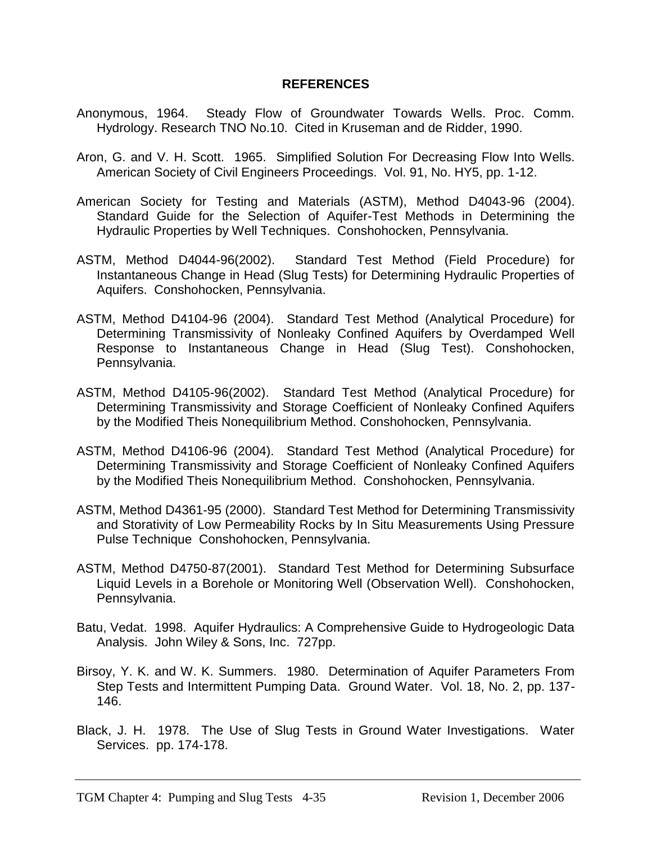#### **REFERENCES**

- Anonymous, 1964. Steady Flow of Groundwater Towards Wells. Proc. Comm. Hydrology. Research TNO No.10. Cited in Kruseman and de Ridder, 1990.
- Aron, G. and V. H. Scott. 1965. Simplified Solution For Decreasing Flow Into Wells. American Society of Civil Engineers Proceedings. Vol. 91, No. HY5, pp. 1-12.
- American Society for Testing and Materials (ASTM), Method D4043-96 (2004). Standard Guide for the Selection of Aquifer-Test Methods in Determining the Hydraulic Properties by Well Techniques. Conshohocken, Pennsylvania.
- ASTM, Method D4044-96(2002). Standard Test Method (Field Procedure) for Instantaneous Change in Head (Slug Tests) for Determining Hydraulic Properties of Aquifers. Conshohocken, Pennsylvania.
- ASTM, Method D4104-96 (2004). Standard Test Method (Analytical Procedure) for Determining Transmissivity of Nonleaky Confined Aquifers by Overdamped Well Response to Instantaneous Change in Head (Slug Test). Conshohocken, Pennsylvania.
- ASTM, Method D4105-96(2002). Standard Test Method (Analytical Procedure) for Determining Transmissivity and Storage Coefficient of Nonleaky Confined Aquifers by the Modified Theis Nonequilibrium Method. Conshohocken, Pennsylvania.
- ASTM, Method D4106-96 (2004). Standard Test Method (Analytical Procedure) for Determining Transmissivity and Storage Coefficient of Nonleaky Confined Aquifers by the Modified Theis Nonequilibrium Method. Conshohocken, Pennsylvania.
- ASTM, Method D4361-95 (2000). Standard Test Method for Determining Transmissivity and Storativity of Low Permeability Rocks by In Situ Measurements Using Pressure Pulse Technique Conshohocken, Pennsylvania.
- ASTM, Method D4750-87(2001). Standard Test Method for Determining Subsurface Liquid Levels in a Borehole or Monitoring Well (Observation Well). Conshohocken, Pennsylvania.
- Batu, Vedat. 1998. Aquifer Hydraulics: A Comprehensive Guide to Hydrogeologic Data Analysis. John Wiley & Sons, Inc. 727pp.
- Birsoy, Y. K. and W. K. Summers. 1980. Determination of Aquifer Parameters From Step Tests and Intermittent Pumping Data. Ground Water. Vol. 18, No. 2, pp. 137- 146.
- Black, J. H. 1978. The Use of Slug Tests in Ground Water Investigations. Water Services. pp. 174-178.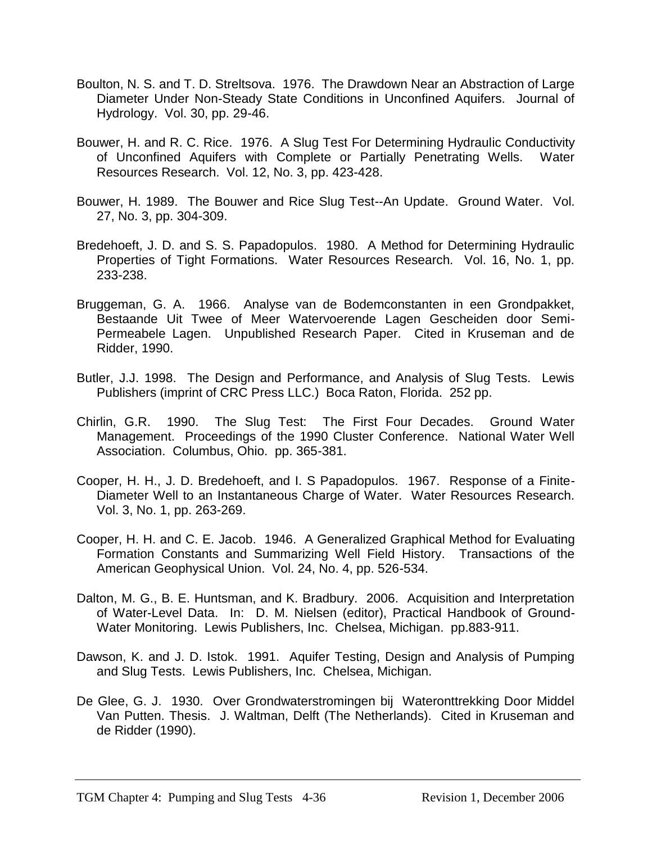- Boulton, N. S. and T. D. Streltsova. 1976. The Drawdown Near an Abstraction of Large Diameter Under Non-Steady State Conditions in Unconfined Aquifers. Journal of Hydrology. Vol. 30, pp. 29-46.
- Bouwer, H. and R. C. Rice. 1976. A Slug Test For Determining Hydraulic Conductivity of Unconfined Aquifers with Complete or Partially Penetrating Wells. Water Resources Research. Vol. 12, No. 3, pp. 423-428.
- Bouwer, H. 1989. The Bouwer and Rice Slug Test--An Update. Ground Water. Vol. 27, No. 3, pp. 304-309.
- Bredehoeft, J. D. and S. S. Papadopulos. 1980. A Method for Determining Hydraulic Properties of Tight Formations. Water Resources Research. Vol. 16, No. 1, pp. 233-238.
- Bruggeman, G. A. 1966. Analyse van de Bodemconstanten in een Grondpakket, Bestaande Uit Twee of Meer Watervoerende Lagen Gescheiden door Semi-Permeabele Lagen. Unpublished Research Paper. Cited in Kruseman and de Ridder, 1990.
- Butler, J.J. 1998. The Design and Performance, and Analysis of Slug Tests. Lewis Publishers (imprint of CRC Press LLC.) Boca Raton, Florida. 252 pp.
- Chirlin, G.R. 1990. The Slug Test: The First Four Decades. Ground Water Management. Proceedings of the 1990 Cluster Conference. National Water Well Association. Columbus, Ohio. pp. 365-381.
- Cooper, H. H., J. D. Bredehoeft, and I. S Papadopulos. 1967. Response of a Finite-Diameter Well to an Instantaneous Charge of Water. Water Resources Research. Vol. 3, No. 1, pp. 263-269.
- Cooper, H. H. and C. E. Jacob. 1946. A Generalized Graphical Method for Evaluating Formation Constants and Summarizing Well Field History. Transactions of the American Geophysical Union. Vol. 24, No. 4, pp. 526-534.
- Dalton, M. G., B. E. Huntsman, and K. Bradbury. 2006. Acquisition and Interpretation of Water-Level Data. In: D. M. Nielsen (editor), Practical Handbook of Ground-Water Monitoring. Lewis Publishers, Inc. Chelsea, Michigan. pp.883-911.
- Dawson, K. and J. D. Istok. 1991. Aquifer Testing, Design and Analysis of Pumping and Slug Tests. Lewis Publishers, Inc. Chelsea, Michigan.
- De Glee, G. J. 1930. Over Grondwaterstromingen bij Wateronttrekking Door Middel Van Putten. Thesis. J. Waltman, Delft (The Netherlands). Cited in Kruseman and de Ridder (1990).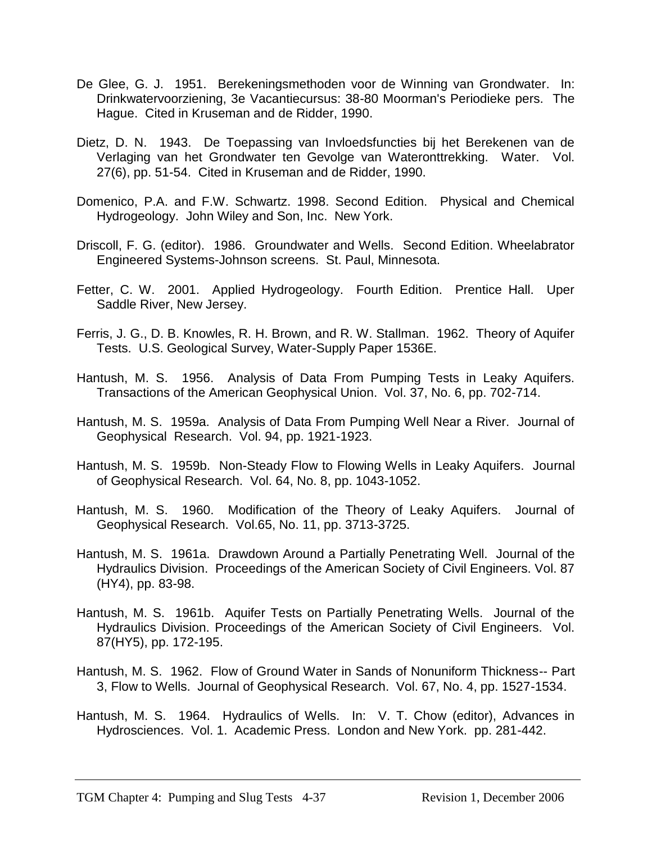- De Glee, G. J. 1951. Berekeningsmethoden voor de Winning van Grondwater. In: Drinkwatervoorziening, 3e Vacantiecursus: 38-80 Moorman's Periodieke pers. The Hague. Cited in Kruseman and de Ridder, 1990.
- Dietz, D. N. 1943. De Toepassing van Invloedsfuncties bij het Berekenen van de Verlaging van het Grondwater ten Gevolge van Wateronttrekking. Water. Vol. 27(6), pp. 51-54. Cited in Kruseman and de Ridder, 1990.
- Domenico, P.A. and F.W. Schwartz. 1998. Second Edition. Physical and Chemical Hydrogeology. John Wiley and Son, Inc. New York.
- Driscoll, F. G. (editor). 1986. Groundwater and Wells. Second Edition. Wheelabrator Engineered Systems-Johnson screens. St. Paul, Minnesota.
- Fetter, C. W. 2001. Applied Hydrogeology. Fourth Edition. Prentice Hall. Uper Saddle River, New Jersey.
- Ferris, J. G., D. B. Knowles, R. H. Brown, and R. W. Stallman. 1962. Theory of Aquifer Tests. U.S. Geological Survey, Water-Supply Paper 1536E.
- Hantush, M. S. 1956. Analysis of Data From Pumping Tests in Leaky Aquifers. Transactions of the American Geophysical Union. Vol. 37, No. 6, pp. 702-714.
- Hantush, M. S. 1959a. Analysis of Data From Pumping Well Near a River. Journal of Geophysical Research. Vol. 94, pp. 1921-1923.
- Hantush, M. S. 1959b. Non-Steady Flow to Flowing Wells in Leaky Aquifers. Journal of Geophysical Research. Vol. 64, No. 8, pp. 1043-1052.
- Hantush, M. S. 1960. Modification of the Theory of Leaky Aquifers. Journal of Geophysical Research. Vol.65, No. 11, pp. 3713-3725.
- Hantush, M. S. 1961a. Drawdown Around a Partially Penetrating Well. Journal of the Hydraulics Division. Proceedings of the American Society of Civil Engineers. Vol. 87 (HY4), pp. 83-98.
- Hantush, M. S. 1961b. Aquifer Tests on Partially Penetrating Wells. Journal of the Hydraulics Division. Proceedings of the American Society of Civil Engineers. Vol. 87(HY5), pp. 172-195.
- Hantush, M. S. 1962. Flow of Ground Water in Sands of Nonuniform Thickness-- Part 3, Flow to Wells. Journal of Geophysical Research. Vol. 67, No. 4, pp. 1527-1534.
- Hantush, M. S. 1964. Hydraulics of Wells. In: V. T. Chow (editor), Advances in Hydrosciences. Vol. 1. Academic Press. London and New York. pp. 281-442.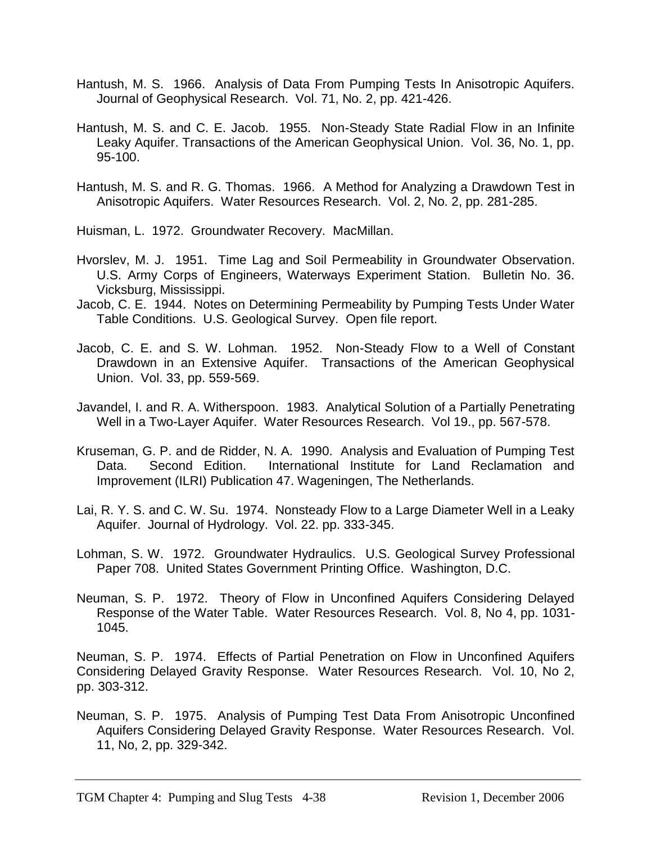- Hantush, M. S. 1966. Analysis of Data From Pumping Tests In Anisotropic Aquifers. Journal of Geophysical Research. Vol. 71, No. 2, pp. 421-426.
- Hantush, M. S. and C. E. Jacob. 1955. Non-Steady State Radial Flow in an Infinite Leaky Aquifer. Transactions of the American Geophysical Union. Vol. 36, No. 1, pp. 95-100.
- Hantush, M. S. and R. G. Thomas. 1966. A Method for Analyzing a Drawdown Test in Anisotropic Aquifers. Water Resources Research. Vol. 2, No. 2, pp. 281-285.

Huisman, L. 1972. Groundwater Recovery. MacMillan.

- Hvorslev, M. J. 1951. Time Lag and Soil Permeability in Groundwater Observation. U.S. Army Corps of Engineers, Waterways Experiment Station. Bulletin No. 36. Vicksburg, Mississippi.
- Jacob, C. E. 1944. Notes on Determining Permeability by Pumping Tests Under Water Table Conditions. U.S. Geological Survey. Open file report.
- Jacob, C. E. and S. W. Lohman. 1952. Non-Steady Flow to a Well of Constant Drawdown in an Extensive Aquifer. Transactions of the American Geophysical Union. Vol. 33, pp. 559-569.
- Javandel, I. and R. A. Witherspoon. 1983. Analytical Solution of a Partially Penetrating Well in a Two-Layer Aquifer. Water Resources Research. Vol 19., pp. 567-578.
- Kruseman, G. P. and de Ridder, N. A. 1990. Analysis and Evaluation of Pumping Test Data. Second Edition. International Institute for Land Reclamation and Improvement (ILRI) Publication 47. Wageningen, The Netherlands.
- Lai, R. Y. S. and C. W. Su. 1974. Nonsteady Flow to a Large Diameter Well in a Leaky Aquifer. Journal of Hydrology. Vol. 22. pp. 333-345.
- Lohman, S. W. 1972. Groundwater Hydraulics. U.S. Geological Survey Professional Paper 708. United States Government Printing Office. Washington, D.C.
- Neuman, S. P. 1972. Theory of Flow in Unconfined Aquifers Considering Delayed Response of the Water Table. Water Resources Research. Vol. 8, No 4, pp. 1031- 1045.

Neuman, S. P. 1974. Effects of Partial Penetration on Flow in Unconfined Aquifers Considering Delayed Gravity Response. Water Resources Research. Vol. 10, No 2, pp. 303-312.

Neuman, S. P. 1975. Analysis of Pumping Test Data From Anisotropic Unconfined Aquifers Considering Delayed Gravity Response. Water Resources Research. Vol. 11, No, 2, pp. 329-342.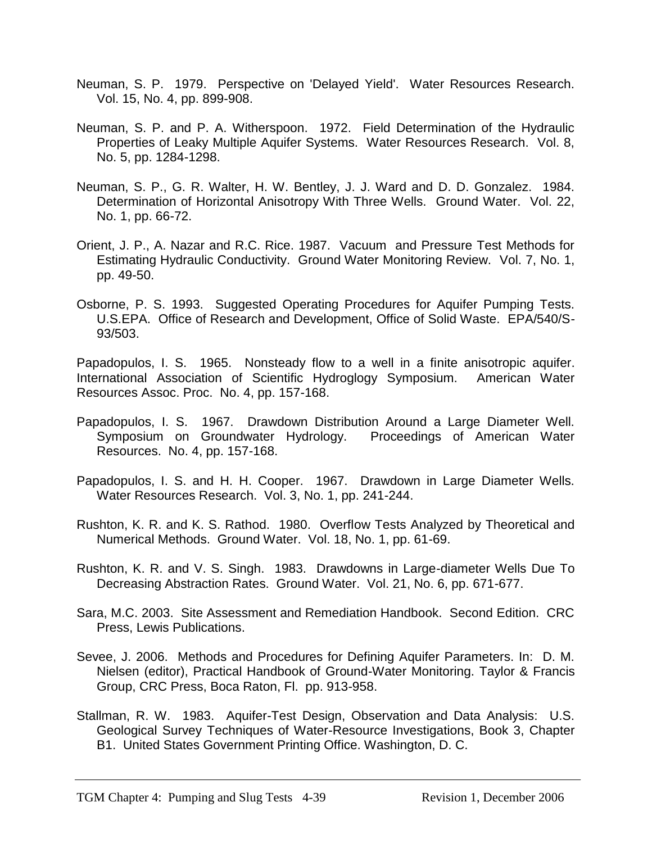- Neuman, S. P. 1979. Perspective on 'Delayed Yield'. Water Resources Research. Vol. 15, No. 4, pp. 899-908.
- Neuman, S. P. and P. A. Witherspoon. 1972. Field Determination of the Hydraulic Properties of Leaky Multiple Aquifer Systems. Water Resources Research. Vol. 8, No. 5, pp. 1284-1298.
- Neuman, S. P., G. R. Walter, H. W. Bentley, J. J. Ward and D. D. Gonzalez. 1984. Determination of Horizontal Anisotropy With Three Wells. Ground Water. Vol. 22, No. 1, pp. 66-72.
- Orient, J. P., A. Nazar and R.C. Rice. 1987. Vacuum and Pressure Test Methods for Estimating Hydraulic Conductivity. Ground Water Monitoring Review. Vol. 7, No. 1, pp. 49-50.
- Osborne, P. S. 1993. Suggested Operating Procedures for Aquifer Pumping Tests. U.S.EPA. Office of Research and Development, Office of Solid Waste. EPA/540/S-93/503.

Papadopulos, I. S. 1965. Nonsteady flow to a well in a finite anisotropic aquifer. International Association of Scientific Hydroglogy Symposium. American Water Resources Assoc. Proc. No. 4, pp. 157-168.

- Papadopulos, I. S. 1967. Drawdown Distribution Around a Large Diameter Well. Symposium on Groundwater Hydrology. Proceedings of American Water Resources. No. 4, pp. 157-168.
- Papadopulos, I. S. and H. H. Cooper. 1967. Drawdown in Large Diameter Wells. Water Resources Research. Vol. 3, No. 1, pp. 241-244.
- Rushton, K. R. and K. S. Rathod. 1980. Overflow Tests Analyzed by Theoretical and Numerical Methods. Ground Water. Vol. 18, No. 1, pp. 61-69.
- Rushton, K. R. and V. S. Singh. 1983. Drawdowns in Large-diameter Wells Due To Decreasing Abstraction Rates. Ground Water. Vol. 21, No. 6, pp. 671-677.
- Sara, M.C. 2003. Site Assessment and Remediation Handbook. Second Edition. CRC Press, Lewis Publications.
- Sevee, J. 2006. Methods and Procedures for Defining Aquifer Parameters. In: D. M. Nielsen (editor), Practical Handbook of Ground-Water Monitoring. Taylor & Francis Group, CRC Press, Boca Raton, Fl. pp. 913-958.
- Stallman, R. W. 1983. Aquifer-Test Design, Observation and Data Analysis: U.S. Geological Survey Techniques of Water-Resource Investigations, Book 3, Chapter B1. United States Government Printing Office. Washington, D. C.